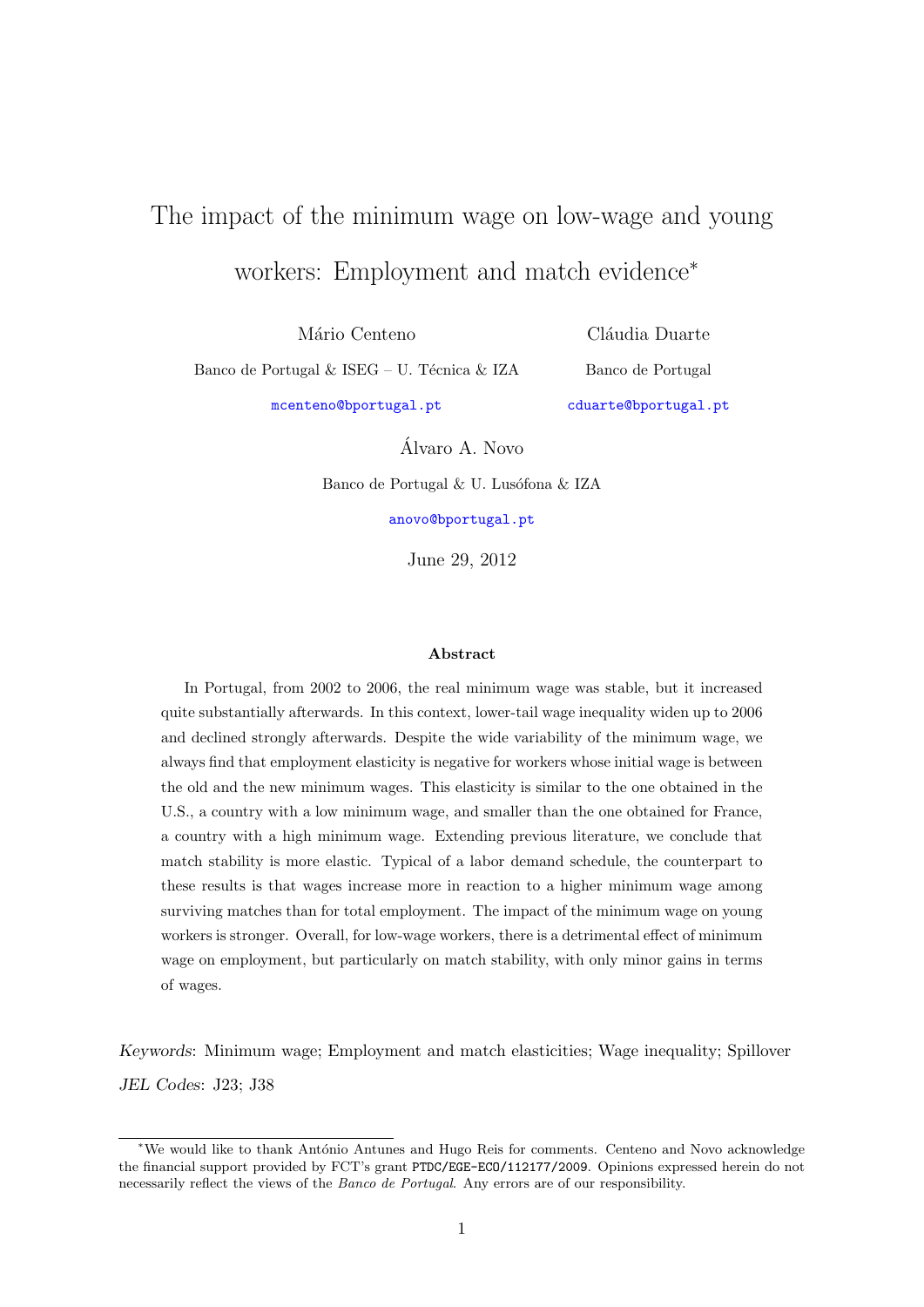# The impact of the minimum wage on low-wage and young workers: Employment and match evidence<sup>∗</sup>

Mário Centeno

Banco de Portugal & ISEG – U. Técnica & IZA

Cláudia Duarte Banco de Portugal

[mcenteno@bportugal.pt](mailto:mcenteno@bportugal.pt)

[cduarte@bportugal.pt](mailto:cduarte@bportugal.pt)

Alvaro A. Novo ´

Banco de Portugal  $\&$  U. Lusófona  $\&$  IZA

[anovo@bportugal.pt](mailto:anovo@bportugal.pt)

June 29, 2012

#### Abstract

In Portugal, from 2002 to 2006, the real minimum wage was stable, but it increased quite substantially afterwards. In this context, lower-tail wage inequality widen up to 2006 and declined strongly afterwards. Despite the wide variability of the minimum wage, we always find that employment elasticity is negative for workers whose initial wage is between the old and the new minimum wages. This elasticity is similar to the one obtained in the U.S., a country with a low minimum wage, and smaller than the one obtained for France, a country with a high minimum wage. Extending previous literature, we conclude that match stability is more elastic. Typical of a labor demand schedule, the counterpart to these results is that wages increase more in reaction to a higher minimum wage among surviving matches than for total employment. The impact of the minimum wage on young workers is stronger. Overall, for low-wage workers, there is a detrimental effect of minimum wage on employment, but particularly on match stability, with only minor gains in terms of wages.

Keywords: Minimum wage; Employment and match elasticities; Wage inequality; Spillover JEL Codes: J23; J38

<sup>∗</sup>We would like to thank Ant´onio Antunes and Hugo Reis for comments. Centeno and Novo acknowledge the financial support provided by FCT's grant PTDC/EGE-ECO/112177/2009. Opinions expressed herein do not necessarily reflect the views of the Banco de Portugal. Any errors are of our responsibility.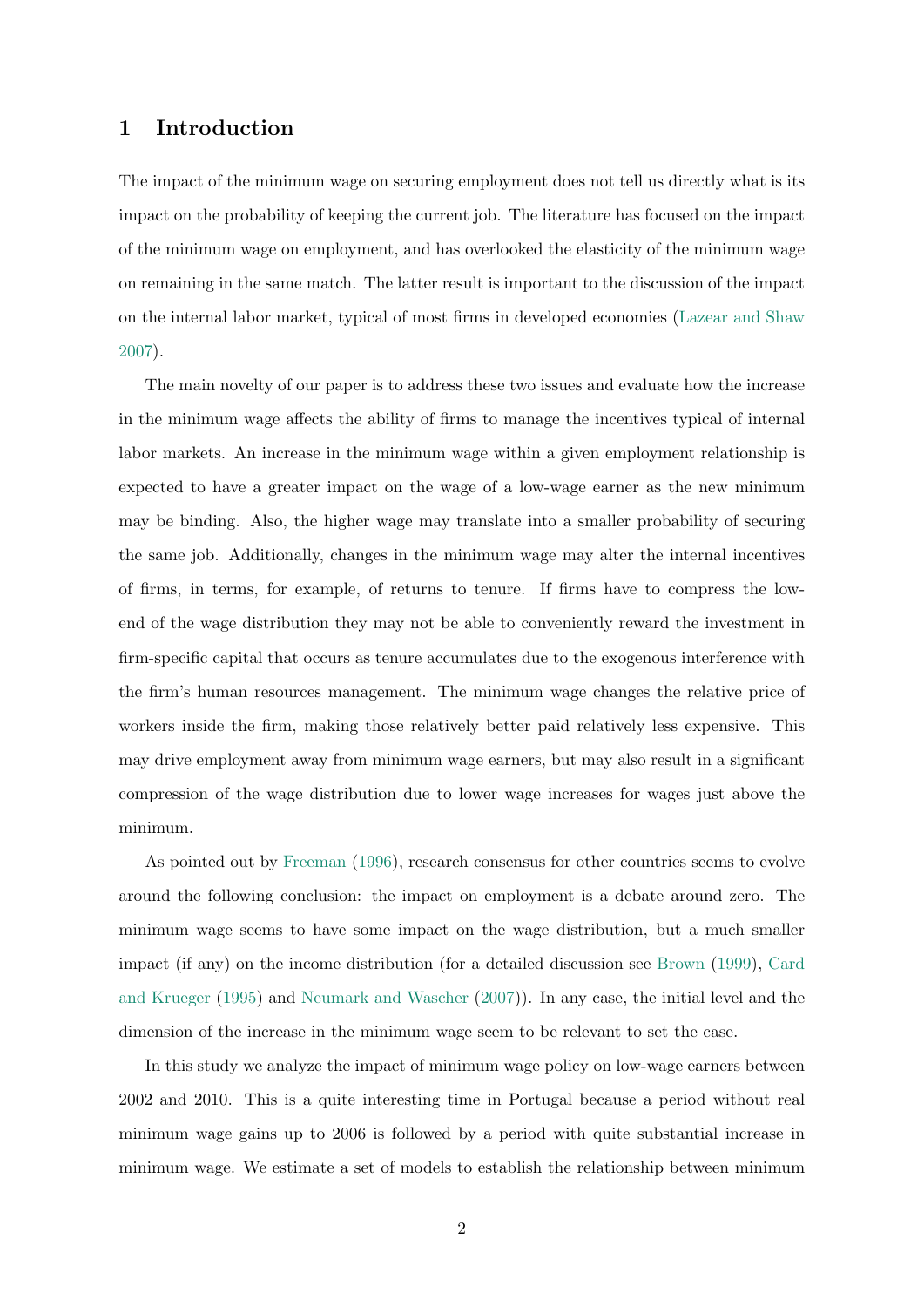# <span id="page-1-0"></span>1 Introduction

The impact of the minimum wage on securing employment does not tell us directly what is its impact on the probability of keeping the current job. The literature has focused on the impact of the minimum wage on employment, and has overlooked the elasticity of the minimum wage on remaining in the same match. The latter result is important to the discussion of the impact on the internal labor market, typical of most firms in developed economies [\(Lazear and Shaw](#page-16-0) [2007\)](#page-16-0).

The main novelty of our paper is to address these two issues and evaluate how the increase in the minimum wage affects the ability of firms to manage the incentives typical of internal labor markets. An increase in the minimum wage within a given employment relationship is expected to have a greater impact on the wage of a low-wage earner as the new minimum may be binding. Also, the higher wage may translate into a smaller probability of securing the same job. Additionally, changes in the minimum wage may alter the internal incentives of firms, in terms, for example, of returns to tenure. If firms have to compress the lowend of the wage distribution they may not be able to conveniently reward the investment in firm-specific capital that occurs as tenure accumulates due to the exogenous interference with the firm's human resources management. The minimum wage changes the relative price of workers inside the firm, making those relatively better paid relatively less expensive. This may drive employment away from minimum wage earners, but may also result in a significant compression of the wage distribution due to lower wage increases for wages just above the minimum.

As pointed out by [Freeman](#page-15-0) [\(1996\)](#page-15-0), research consensus for other countries seems to evolve around the following conclusion: the impact on employment is a debate around zero. The minimum wage seems to have some impact on the wage distribution, but a much smaller impact (if any) on the income distribution (for a detailed discussion see [Brown](#page-15-1) [\(1999\)](#page-15-1), [Card](#page-15-2) [and Krueger](#page-15-2) [\(1995\)](#page-15-2) and [Neumark and Wascher](#page-16-1) [\(2007\)](#page-16-1)). In any case, the initial level and the dimension of the increase in the minimum wage seem to be relevant to set the case.

In this study we analyze the impact of minimum wage policy on low-wage earners between 2002 and 2010. This is a quite interesting time in Portugal because a period without real minimum wage gains up to 2006 is followed by a period with quite substantial increase in minimum wage. We estimate a set of models to establish the relationship between minimum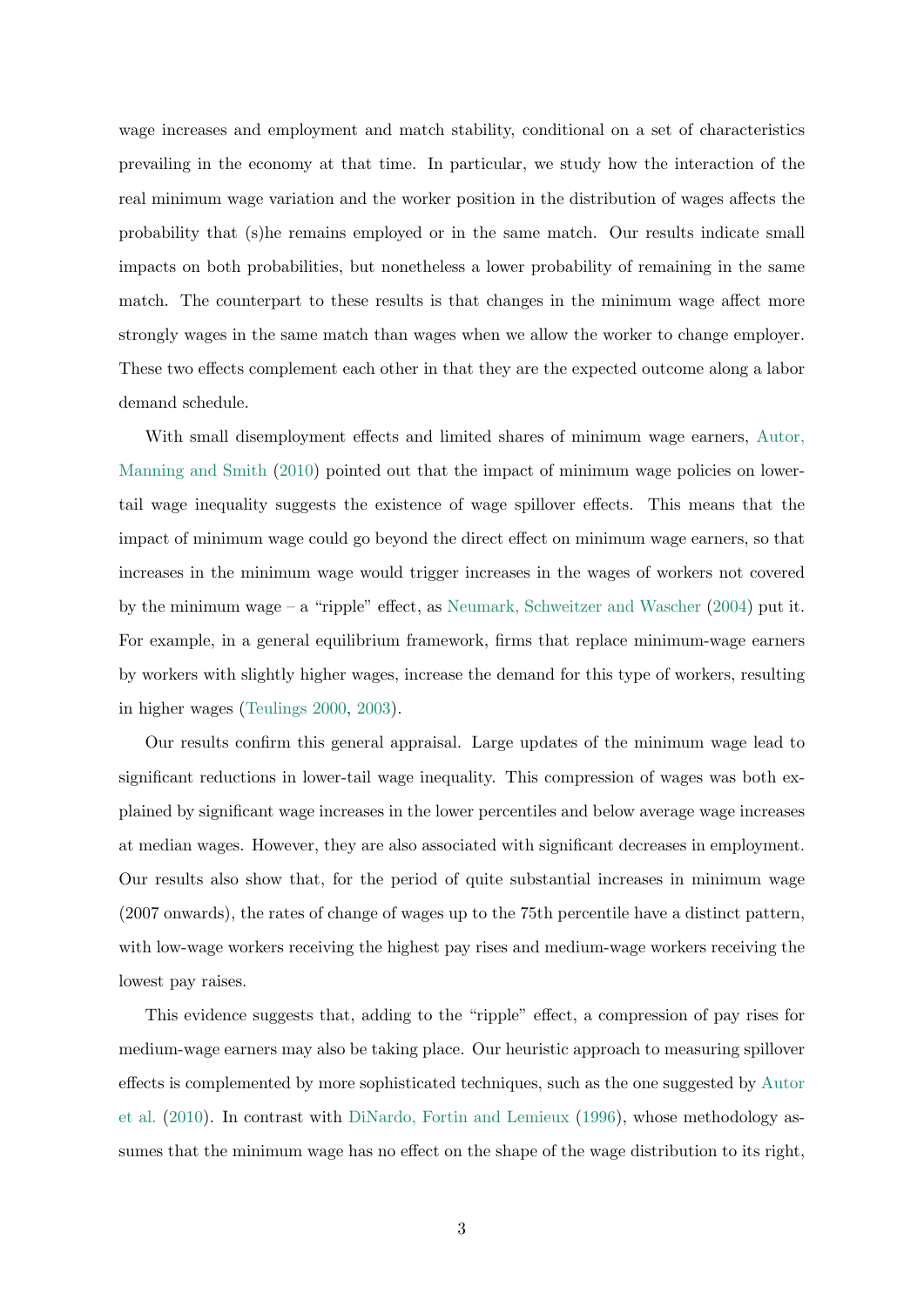wage increases and employment and match stability, conditional on a set of characteristics prevailing in the economy at that time. In particular, we study how the interaction of the real minimum wage variation and the worker position in the distribution of wages affects the probability that (s)he remains employed or in the same match. Our results indicate small impacts on both probabilities, but nonetheless a lower probability of remaining in the same match. The counterpart to these results is that changes in the minimum wage affect more strongly wages in the same match than wages when we allow the worker to change employer. These two effects complement each other in that they are the expected outcome along a labor demand schedule.

With small disemployment effects and limited shares of minimum wage earners, [Autor,](#page-15-3) [Manning and Smith](#page-15-3) [\(2010\)](#page-15-3) pointed out that the impact of minimum wage policies on lowertail wage inequality suggests the existence of wage spillover effects. This means that the impact of minimum wage could go beyond the direct effect on minimum wage earners, so that increases in the minimum wage would trigger increases in the wages of workers not covered by the minimum wage – a "ripple" effect, as [Neumark, Schweitzer and Wascher](#page-16-2) [\(2004\)](#page-16-2) put it. For example, in a general equilibrium framework, firms that replace minimum-wage earners by workers with slightly higher wages, increase the demand for this type of workers, resulting in higher wages [\(Teulings](#page-16-3) [2000,](#page-16-3) [2003\)](#page-16-4).

Our results confirm this general appraisal. Large updates of the minimum wage lead to significant reductions in lower-tail wage inequality. This compression of wages was both explained by significant wage increases in the lower percentiles and below average wage increases at median wages. However, they are also associated with significant decreases in employment. Our results also show that, for the period of quite substantial increases in minimum wage (2007 onwards), the rates of change of wages up to the 75th percentile have a distinct pattern, with low-wage workers receiving the highest pay rises and medium-wage workers receiving the lowest pay raises.

This evidence suggests that, adding to the "ripple" effect, a compression of pay rises for medium-wage earners may also be taking place. Our heuristic approach to measuring spillover effects is complemented by more sophisticated techniques, such as the one suggested by [Autor](#page-15-3) [et al.](#page-15-3) [\(2010\)](#page-15-3). In contrast with [DiNardo, Fortin and Lemieux](#page-15-4) [\(1996\)](#page-15-4), whose methodology assumes that the minimum wage has no effect on the shape of the wage distribution to its right,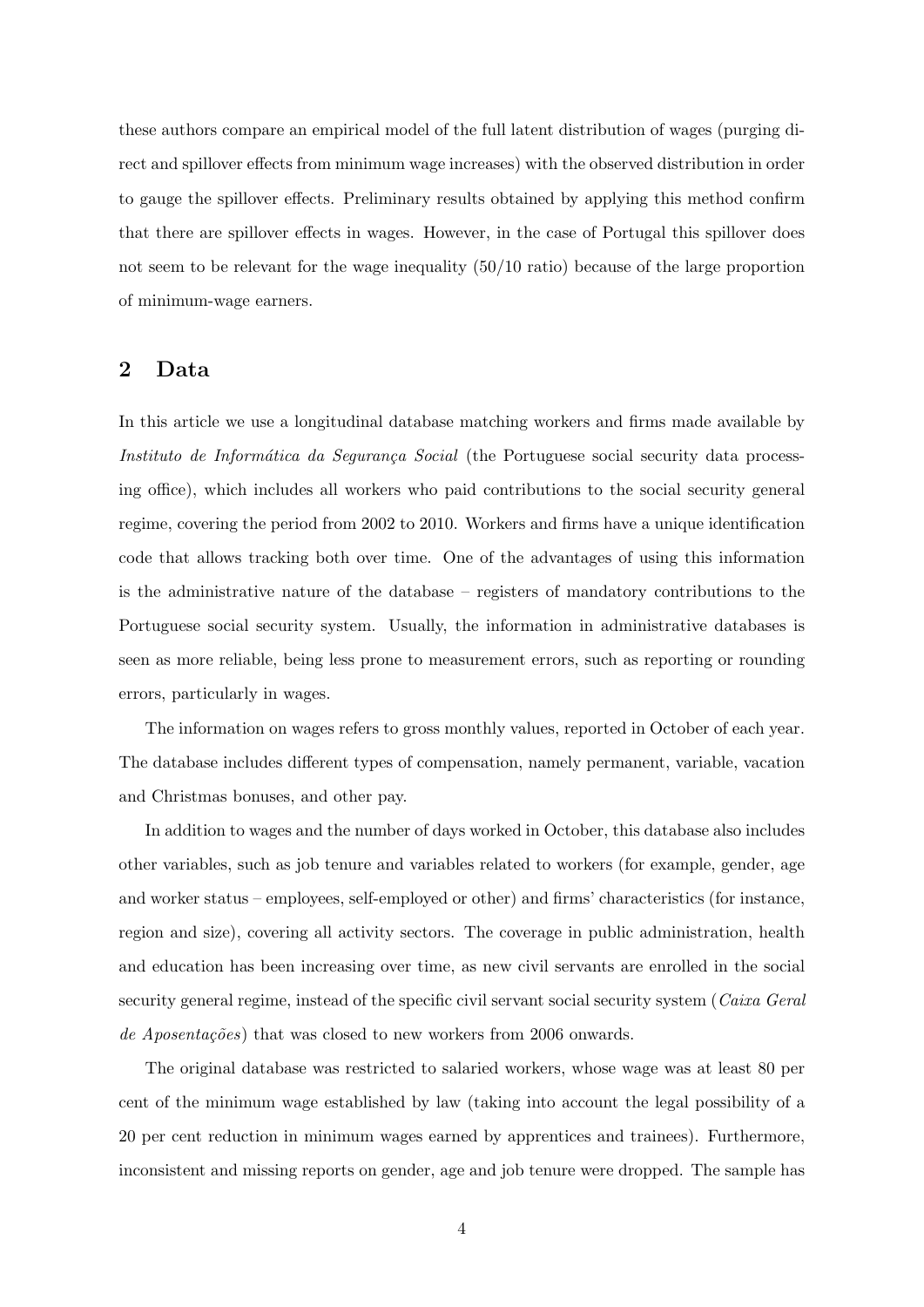these authors compare an empirical model of the full latent distribution of wages (purging direct and spillover effects from minimum wage increases) with the observed distribution in order to gauge the spillover effects. Preliminary results obtained by applying this method confirm that there are spillover effects in wages. However, in the case of Portugal this spillover does not seem to be relevant for the wage inequality (50/10 ratio) because of the large proportion of minimum-wage earners.

# 2 Data

In this article we use a longitudinal database matching workers and firms made available by Instituto de Informática da Segurança Social (the Portuguese social security data processing office), which includes all workers who paid contributions to the social security general regime, covering the period from 2002 to 2010. Workers and firms have a unique identification code that allows tracking both over time. One of the advantages of using this information is the administrative nature of the database – registers of mandatory contributions to the Portuguese social security system. Usually, the information in administrative databases is seen as more reliable, being less prone to measurement errors, such as reporting or rounding errors, particularly in wages.

The information on wages refers to gross monthly values, reported in October of each year. The database includes different types of compensation, namely permanent, variable, vacation and Christmas bonuses, and other pay.

In addition to wages and the number of days worked in October, this database also includes other variables, such as job tenure and variables related to workers (for example, gender, age and worker status – employees, self-employed or other) and firms' characteristics (for instance, region and size), covering all activity sectors. The coverage in public administration, health and education has been increasing over time, as new civil servants are enrolled in the social security general regime, instead of the specific civil servant social security system (Caixa Geral de Aposentações) that was closed to new workers from 2006 onwards.

The original database was restricted to salaried workers, whose wage was at least 80 per cent of the minimum wage established by law (taking into account the legal possibility of a 20 per cent reduction in minimum wages earned by apprentices and trainees). Furthermore, inconsistent and missing reports on gender, age and job tenure were dropped. The sample has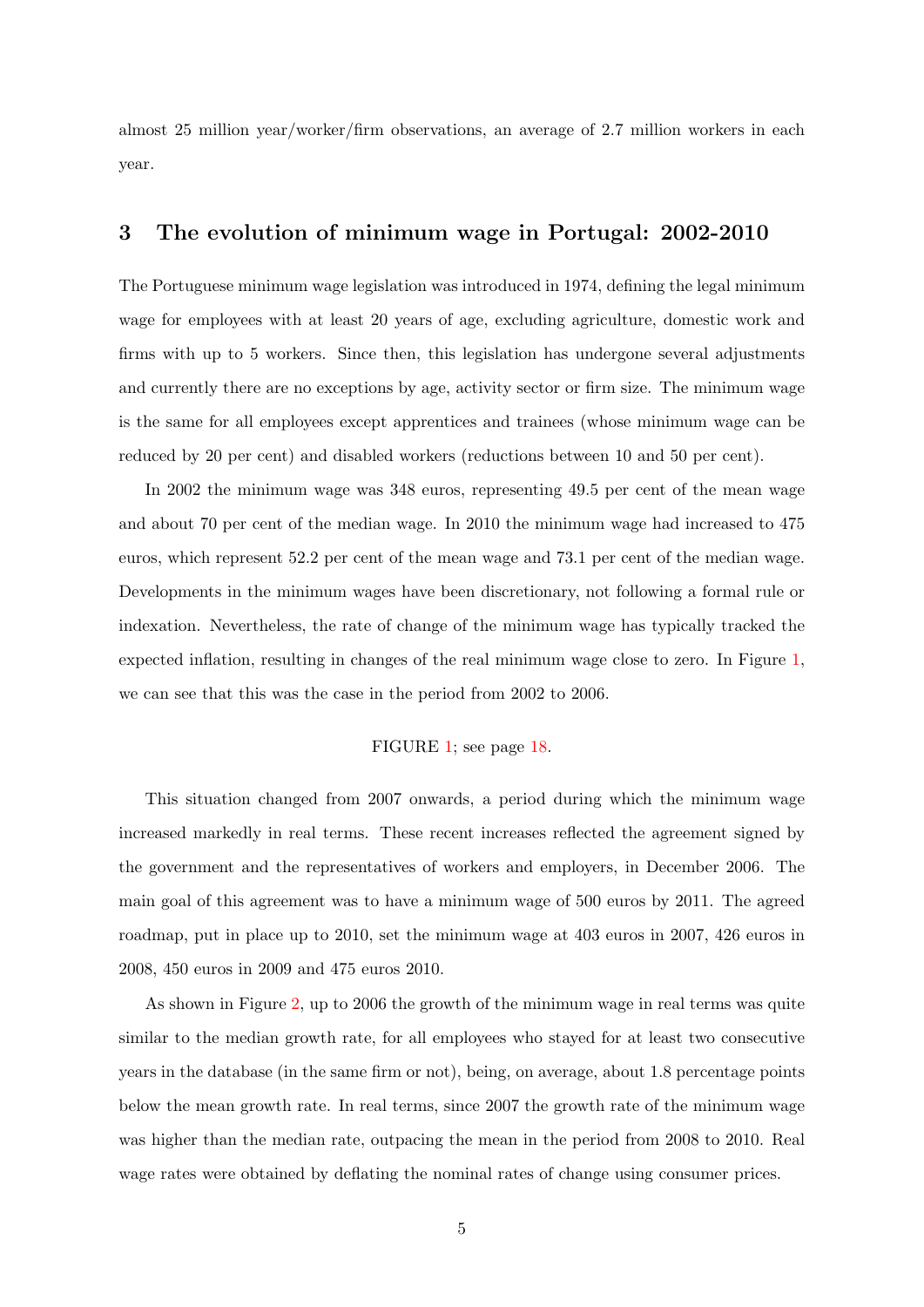almost 25 million year/worker/firm observations, an average of 2.7 million workers in each year.

# <span id="page-4-0"></span>3 The evolution of minimum wage in Portugal: 2002-2010

The Portuguese minimum wage legislation was introduced in 1974, defining the legal minimum wage for employees with at least 20 years of age, excluding agriculture, domestic work and firms with up to 5 workers. Since then, this legislation has undergone several adjustments and currently there are no exceptions by age, activity sector or firm size. The minimum wage is the same for all employees except apprentices and trainees (whose minimum wage can be reduced by 20 per cent) and disabled workers (reductions between 10 and 50 per cent).

In 2002 the minimum wage was 348 euros, representing 49.5 per cent of the mean wage and about 70 per cent of the median wage. In 2010 the minimum wage had increased to 475 euros, which represent 52.2 per cent of the mean wage and 73.1 per cent of the median wage. Developments in the minimum wages have been discretionary, not following a formal rule or indexation. Nevertheless, the rate of change of the minimum wage has typically tracked the expected inflation, resulting in changes of the real minimum wage close to zero. In Figure [1,](#page-17-0) we can see that this was the case in the period from 2002 to 2006.

# FIGURE [1;](#page-17-0) see page [18.](#page-17-0)

This situation changed from 2007 onwards, a period during which the minimum wage increased markedly in real terms. These recent increases reflected the agreement signed by the government and the representatives of workers and employers, in December 2006. The main goal of this agreement was to have a minimum wage of 500 euros by 2011. The agreed roadmap, put in place up to 2010, set the minimum wage at 403 euros in 2007, 426 euros in 2008, 450 euros in 2009 and 475 euros 2010.

As shown in Figure [2,](#page-17-1) up to 2006 the growth of the minimum wage in real terms was quite similar to the median growth rate, for all employees who stayed for at least two consecutive years in the database (in the same firm or not), being, on average, about 1.8 percentage points below the mean growth rate. In real terms, since 2007 the growth rate of the minimum wage was higher than the median rate, outpacing the mean in the period from 2008 to 2010. Real wage rates were obtained by deflating the nominal rates of change using consumer prices.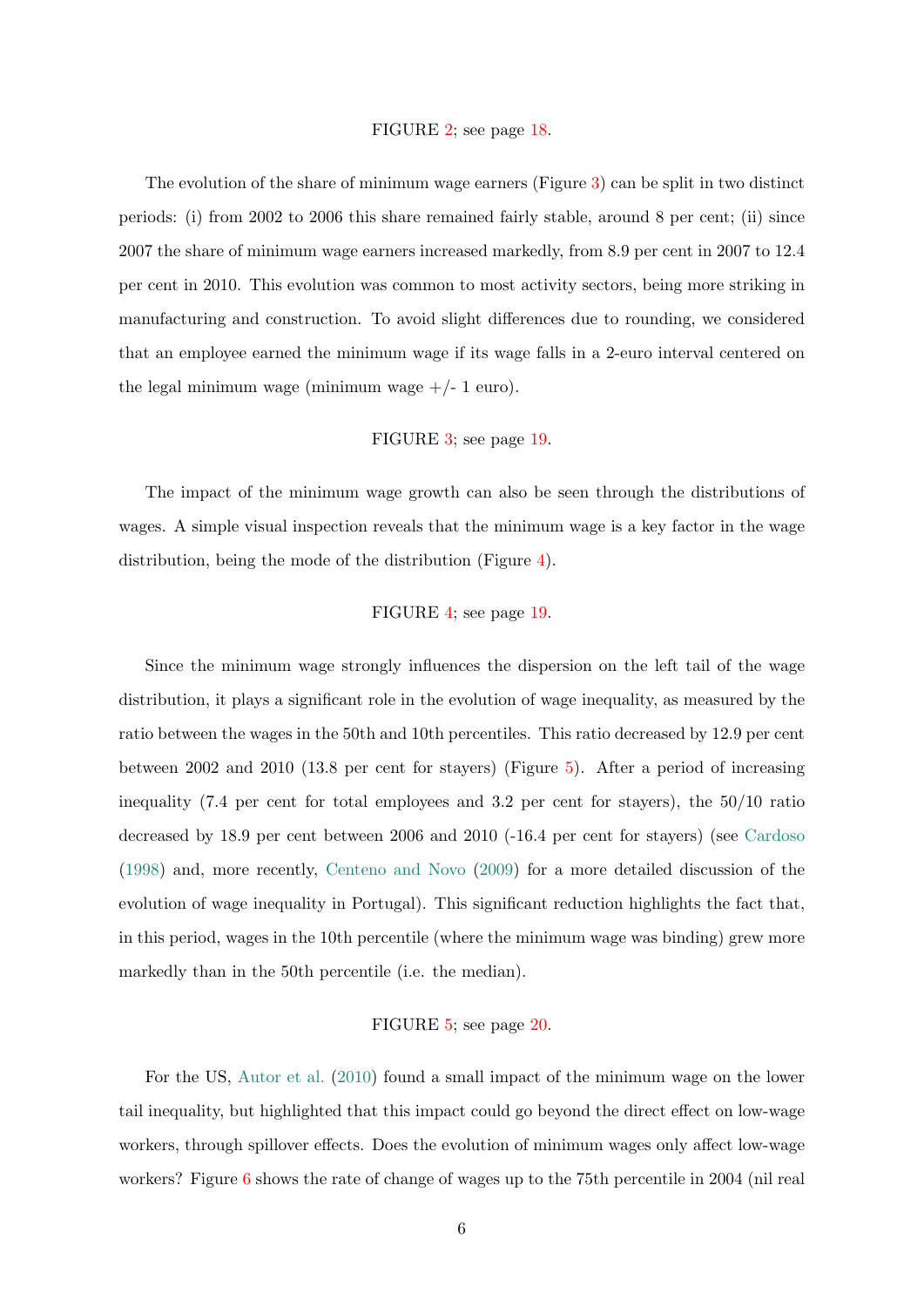#### FIGURE [2;](#page-17-1) see page [18.](#page-17-1)

The evolution of the share of minimum wage earners (Figure [3\)](#page-18-0) can be split in two distinct periods: (i) from 2002 to 2006 this share remained fairly stable, around 8 per cent; (ii) since 2007 the share of minimum wage earners increased markedly, from 8.9 per cent in 2007 to 12.4 per cent in 2010. This evolution was common to most activity sectors, being more striking in manufacturing and construction. To avoid slight differences due to rounding, we considered that an employee earned the minimum wage if its wage falls in a 2-euro interval centered on the legal minimum wage (minimum wage  $+/- 1$  euro).

## FIGURE [3;](#page-18-0) see page [19.](#page-18-0)

The impact of the minimum wage growth can also be seen through the distributions of wages. A simple visual inspection reveals that the minimum wage is a key factor in the wage distribution, being the mode of the distribution (Figure [4\)](#page-18-1).

#### FIGURE [4;](#page-18-1) see page [19.](#page-18-1)

Since the minimum wage strongly influences the dispersion on the left tail of the wage distribution, it plays a significant role in the evolution of wage inequality, as measured by the ratio between the wages in the 50th and 10th percentiles. This ratio decreased by 12.9 per cent between 2002 and 2010 (13.8 per cent for stayers) (Figure [5\)](#page-19-0). After a period of increasing inequality (7.4 per cent for total employees and 3.2 per cent for stayers), the 50/10 ratio decreased by 18.9 per cent between 2006 and 2010 (-16.4 per cent for stayers) (see [Cardoso](#page-15-5) [\(1998\)](#page-15-5) and, more recently, [Centeno and Novo](#page-15-6) [\(2009\)](#page-15-6) for a more detailed discussion of the evolution of wage inequality in Portugal). This significant reduction highlights the fact that, in this period, wages in the 10th percentile (where the minimum wage was binding) grew more markedly than in the 50th percentile (i.e. the median).

#### FIGURE [5;](#page-19-0) see page [20.](#page-19-0)

For the US, [Autor et al.](#page-15-3) [\(2010\)](#page-15-3) found a small impact of the minimum wage on the lower tail inequality, but highlighted that this impact could go beyond the direct effect on low-wage workers, through spillover effects. Does the evolution of minimum wages only affect low-wage workers? Figure [6](#page-19-1) shows the rate of change of wages up to the 75th percentile in 2004 (nil real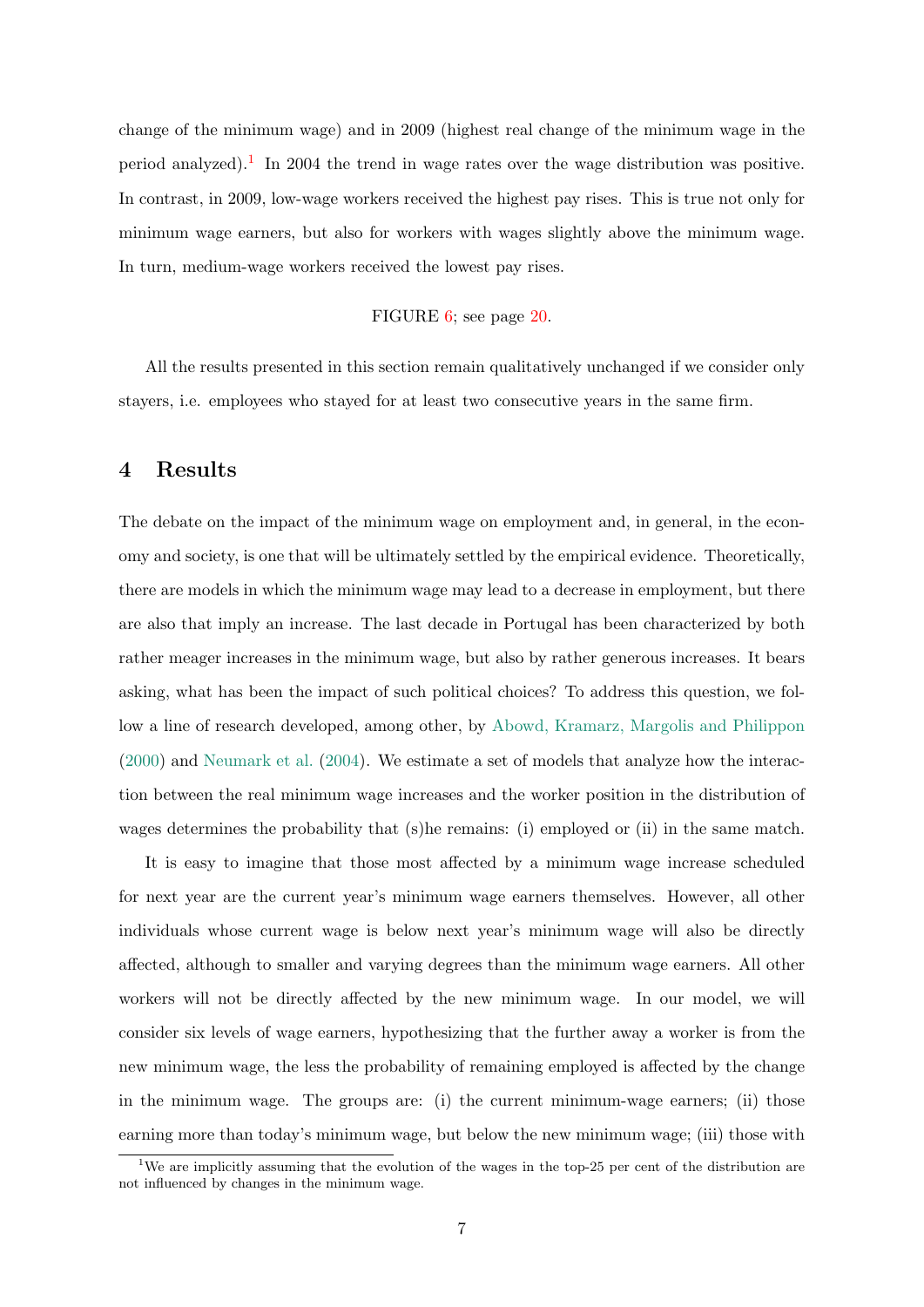change of the minimum wage) and in 2009 (highest real change of the minimum wage in the period analyzed).<sup>[1](#page-6-0)</sup> In 2004 the trend in wage rates over the wage distribution was positive. In contrast, in 2009, low-wage workers received the highest pay rises. This is true not only for minimum wage earners, but also for workers with wages slightly above the minimum wage. In turn, medium-wage workers received the lowest pay rises.

### FIGURE [6;](#page-19-1) see page [20.](#page-19-1)

All the results presented in this section remain qualitatively unchanged if we consider only stayers, i.e. employees who stayed for at least two consecutive years in the same firm.

# <span id="page-6-1"></span>4 Results

The debate on the impact of the minimum wage on employment and, in general, in the economy and society, is one that will be ultimately settled by the empirical evidence. Theoretically, there are models in which the minimum wage may lead to a decrease in employment, but there are also that imply an increase. The last decade in Portugal has been characterized by both rather meager increases in the minimum wage, but also by rather generous increases. It bears asking, what has been the impact of such political choices? To address this question, we follow a line of research developed, among other, by [Abowd, Kramarz, Margolis and Philippon](#page-15-7) [\(2000\)](#page-15-7) and [Neumark et al.](#page-16-2) [\(2004\)](#page-16-2). We estimate a set of models that analyze how the interaction between the real minimum wage increases and the worker position in the distribution of wages determines the probability that (s)he remains: (i) employed or (ii) in the same match.

It is easy to imagine that those most affected by a minimum wage increase scheduled for next year are the current year's minimum wage earners themselves. However, all other individuals whose current wage is below next year's minimum wage will also be directly affected, although to smaller and varying degrees than the minimum wage earners. All other workers will not be directly affected by the new minimum wage. In our model, we will consider six levels of wage earners, hypothesizing that the further away a worker is from the new minimum wage, the less the probability of remaining employed is affected by the change in the minimum wage. The groups are: (i) the current minimum-wage earners; (ii) those earning more than today's minimum wage, but below the new minimum wage; (iii) those with

<span id="page-6-0"></span><sup>&</sup>lt;sup>1</sup>We are implicitly assuming that the evolution of the wages in the top-25 per cent of the distribution are not influenced by changes in the minimum wage.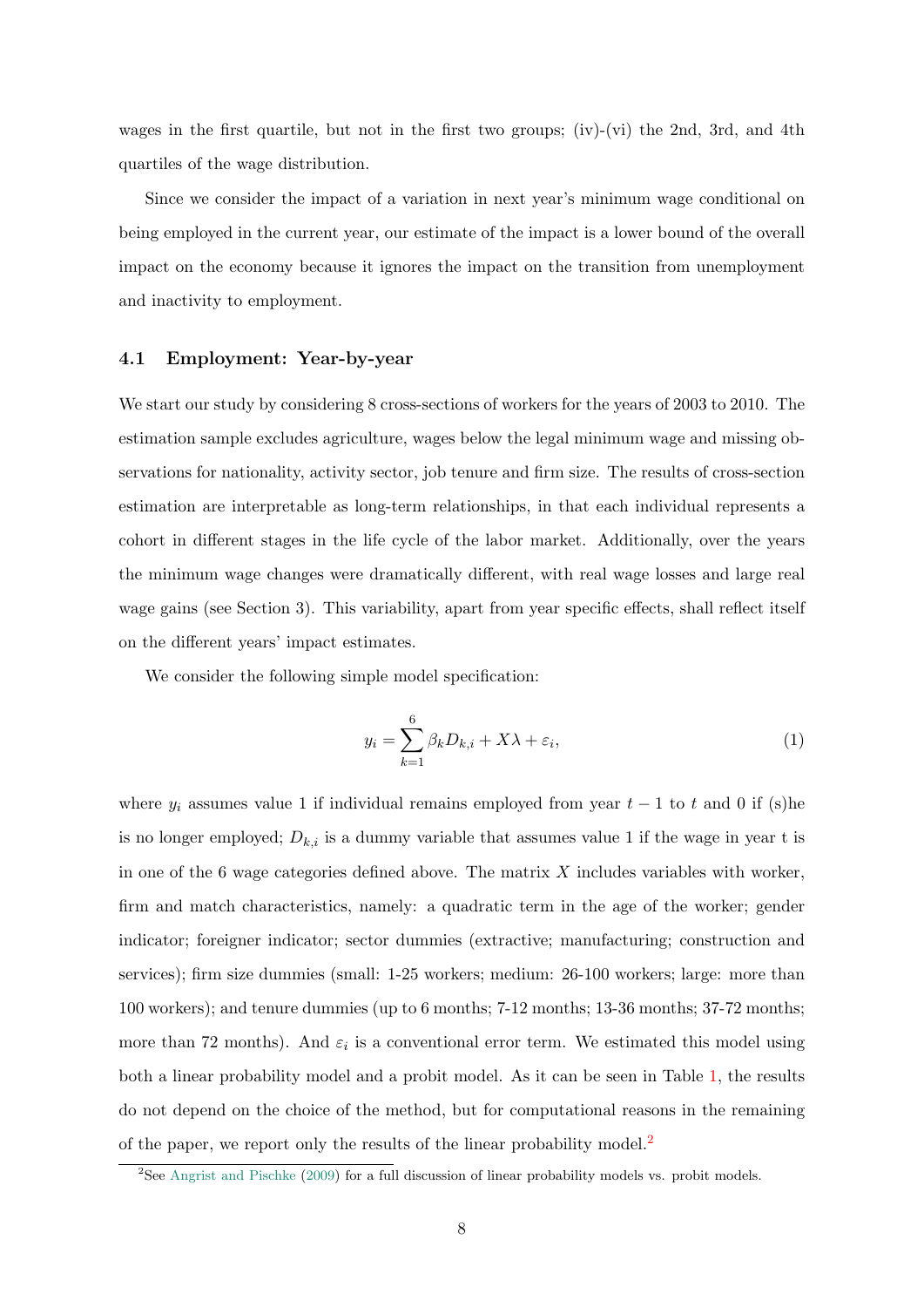wages in the first quartile, but not in the first two groups; (iv)-(vi) the 2nd, 3rd, and 4th quartiles of the wage distribution.

Since we consider the impact of a variation in next year's minimum wage conditional on being employed in the current year, our estimate of the impact is a lower bound of the overall impact on the economy because it ignores the impact on the transition from unemployment and inactivity to employment.

# 4.1 Employment: Year-by-year

We start our study by considering 8 cross-sections of workers for the years of 2003 to 2010. The estimation sample excludes agriculture, wages below the legal minimum wage and missing observations for nationality, activity sector, job tenure and firm size. The results of cross-section estimation are interpretable as long-term relationships, in that each individual represents a cohort in different stages in the life cycle of the labor market. Additionally, over the years the minimum wage changes were dramatically different, with real wage losses and large real wage gains (see Section 3). This variability, apart from year specific effects, shall reflect itself on the different years' impact estimates.

We consider the following simple model specification:

<span id="page-7-1"></span>
$$
y_i = \sum_{k=1}^{6} \beta_k D_{k,i} + X\lambda + \varepsilon_i,
$$
\n(1)

where  $y_i$  assumes value 1 if individual remains employed from year  $t-1$  to t and 0 if (s)he is no longer employed;  $D_{k,i}$  is a dummy variable that assumes value 1 if the wage in year t is in one of the 6 wage categories defined above. The matrix  $X$  includes variables with worker, firm and match characteristics, namely: a quadratic term in the age of the worker; gender indicator; foreigner indicator; sector dummies (extractive; manufacturing; construction and services); firm size dummies (small: 1-25 workers; medium: 26-100 workers; large: more than 100 workers); and tenure dummies (up to 6 months; 7-12 months; 13-36 months; 37-72 months; more than 72 months). And  $\varepsilon_i$  is a conventional error term. We estimated this model using both a linear probability model and a probit model. As it can be seen in Table [1,](#page-21-0) the results do not depend on the choice of the method, but for computational reasons in the remaining of the paper, we report only the results of the linear probability model.<sup>[2](#page-7-0)</sup>

<span id="page-7-0"></span><sup>&</sup>lt;sup>2</sup>See [Angrist and Pischke](#page-15-8) [\(2009\)](#page-15-8) for a full discussion of linear probability models vs. probit models.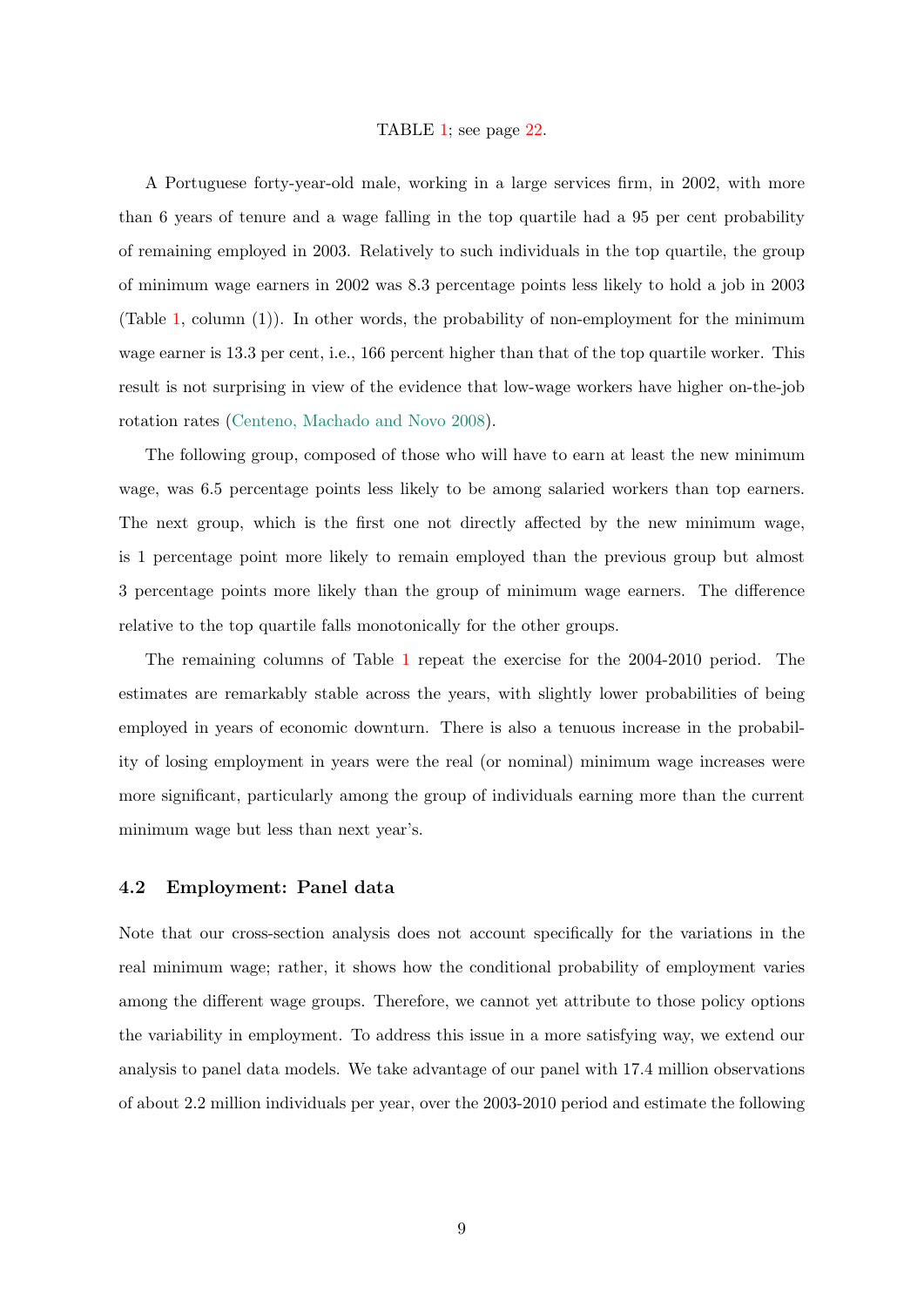# TABLE [1;](#page-21-0) see page [22.](#page-21-0)

A Portuguese forty-year-old male, working in a large services firm, in 2002, with more than 6 years of tenure and a wage falling in the top quartile had a 95 per cent probability of remaining employed in 2003. Relatively to such individuals in the top quartile, the group of minimum wage earners in 2002 was 8.3 percentage points less likely to hold a job in 2003 (Table [1,](#page-21-0) column (1)). In other words, the probability of non-employment for the minimum wage earner is 13.3 per cent, i.e., 166 percent higher than that of the top quartile worker. This result is not surprising in view of the evidence that low-wage workers have higher on-the-job rotation rates [\(Centeno, Machado and Novo](#page-15-9) [2008\)](#page-15-9).

The following group, composed of those who will have to earn at least the new minimum wage, was 6.5 percentage points less likely to be among salaried workers than top earners. The next group, which is the first one not directly affected by the new minimum wage, is 1 percentage point more likely to remain employed than the previous group but almost 3 percentage points more likely than the group of minimum wage earners. The difference relative to the top quartile falls monotonically for the other groups.

The remaining columns of Table [1](#page-21-0) repeat the exercise for the 2004-2010 period. The estimates are remarkably stable across the years, with slightly lower probabilities of being employed in years of economic downturn. There is also a tenuous increase in the probability of losing employment in years were the real (or nominal) minimum wage increases were more significant, particularly among the group of individuals earning more than the current minimum wage but less than next year's.

#### 4.2 Employment: Panel data

Note that our cross-section analysis does not account specifically for the variations in the real minimum wage; rather, it shows how the conditional probability of employment varies among the different wage groups. Therefore, we cannot yet attribute to those policy options the variability in employment. To address this issue in a more satisfying way, we extend our analysis to panel data models. We take advantage of our panel with 17.4 million observations of about 2.2 million individuals per year, over the 2003-2010 period and estimate the following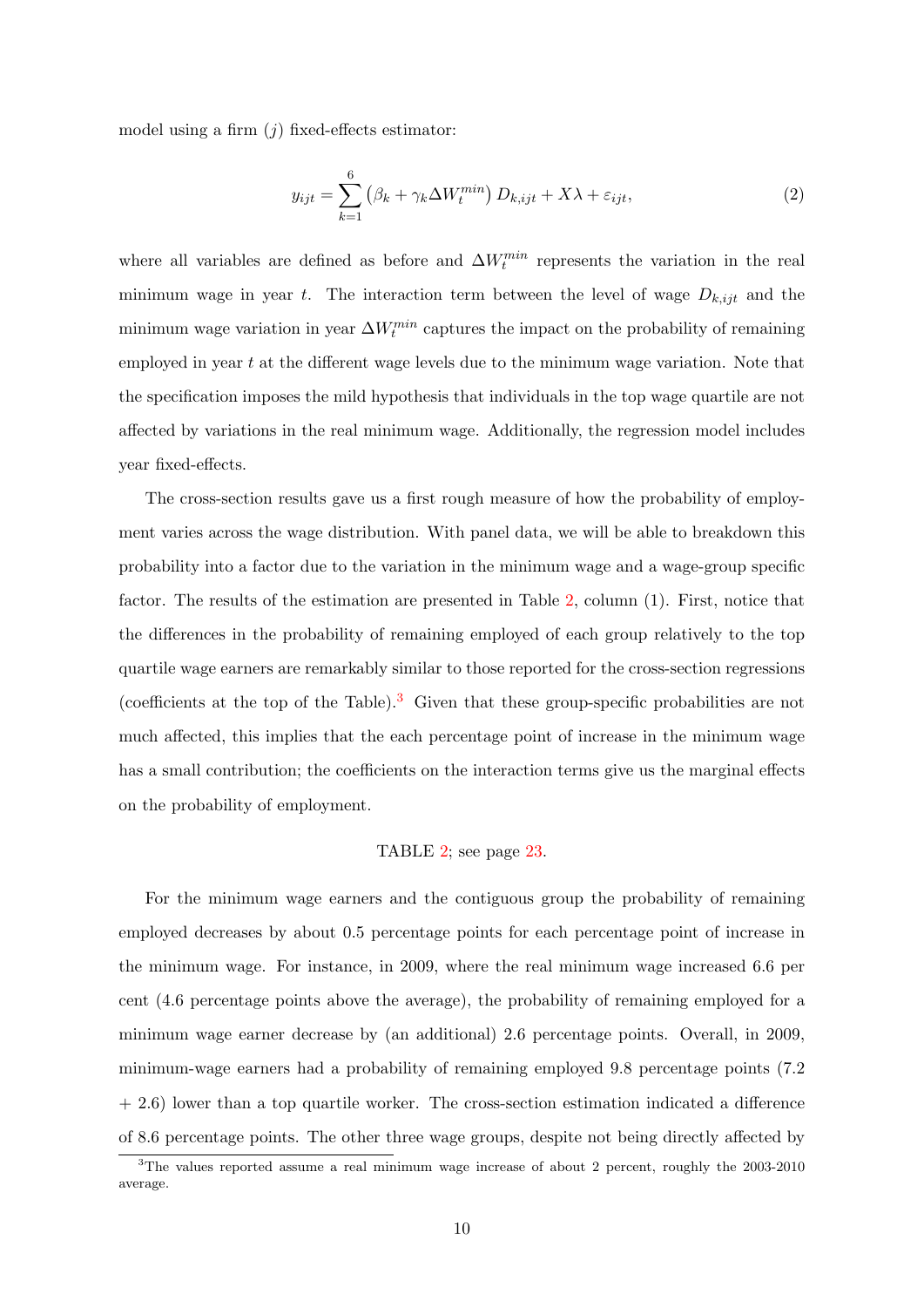model using a firm  $(j)$  fixed-effects estimator:

<span id="page-9-1"></span>
$$
y_{ijt} = \sum_{k=1}^{6} \left(\beta_k + \gamma_k \Delta W_t^{min}\right) D_{k,ijt} + X\lambda + \varepsilon_{ijt},\tag{2}
$$

where all variables are defined as before and  $\Delta W_t^{min}$  represents the variation in the real minimum wage in year t. The interaction term between the level of wage  $D_{k,ijt}$  and the minimum wage variation in year  $\Delta W_t^{min}$  captures the impact on the probability of remaining employed in year  $t$  at the different wage levels due to the minimum wage variation. Note that the specification imposes the mild hypothesis that individuals in the top wage quartile are not affected by variations in the real minimum wage. Additionally, the regression model includes year fixed-effects.

The cross-section results gave us a first rough measure of how the probability of employment varies across the wage distribution. With panel data, we will be able to breakdown this probability into a factor due to the variation in the minimum wage and a wage-group specific factor. The results of the estimation are presented in Table [2,](#page-22-0) column (1). First, notice that the differences in the probability of remaining employed of each group relatively to the top quartile wage earners are remarkably similar to those reported for the cross-section regressions (coefficients at the top of the Table).<sup>[3](#page-9-0)</sup> Given that these group-specific probabilities are not much affected, this implies that the each percentage point of increase in the minimum wage has a small contribution; the coefficients on the interaction terms give us the marginal effects on the probability of employment.

#### TABLE [2;](#page-22-0) see page [23.](#page-22-0)

For the minimum wage earners and the contiguous group the probability of remaining employed decreases by about 0.5 percentage points for each percentage point of increase in the minimum wage. For instance, in 2009, where the real minimum wage increased 6.6 per cent (4.6 percentage points above the average), the probability of remaining employed for a minimum wage earner decrease by (an additional) 2.6 percentage points. Overall, in 2009, minimum-wage earners had a probability of remaining employed 9.8 percentage points (7.2 + 2.6) lower than a top quartile worker. The cross-section estimation indicated a difference of 8.6 percentage points. The other three wage groups, despite not being directly affected by

<span id="page-9-0"></span><sup>&</sup>lt;sup>3</sup>The values reported assume a real minimum wage increase of about 2 percent, roughly the 2003-2010 average.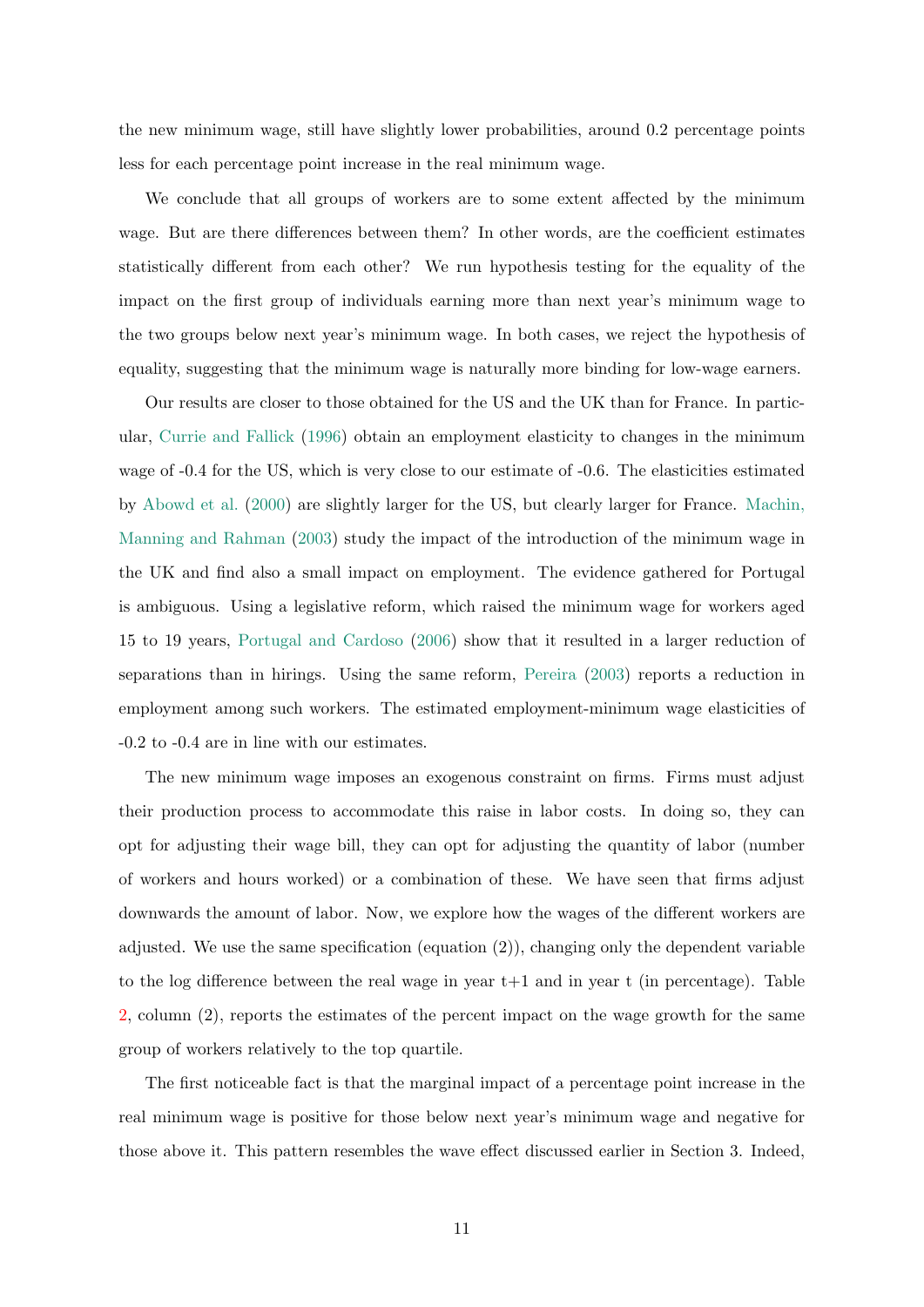the new minimum wage, still have slightly lower probabilities, around 0.2 percentage points less for each percentage point increase in the real minimum wage.

We conclude that all groups of workers are to some extent affected by the minimum wage. But are there differences between them? In other words, are the coefficient estimates statistically different from each other? We run hypothesis testing for the equality of the impact on the first group of individuals earning more than next year's minimum wage to the two groups below next year's minimum wage. In both cases, we reject the hypothesis of equality, suggesting that the minimum wage is naturally more binding for low-wage earners.

Our results are closer to those obtained for the US and the UK than for France. In particular, [Currie and Fallick](#page-15-10) [\(1996\)](#page-15-10) obtain an employment elasticity to changes in the minimum wage of -0.4 for the US, which is very close to our estimate of -0.6. The elasticities estimated by [Abowd et al.](#page-15-7) [\(2000\)](#page-15-7) are slightly larger for the US, but clearly larger for France. [Machin,](#page-16-5) [Manning and Rahman](#page-16-5) [\(2003\)](#page-16-5) study the impact of the introduction of the minimum wage in the UK and find also a small impact on employment. The evidence gathered for Portugal is ambiguous. Using a legislative reform, which raised the minimum wage for workers aged 15 to 19 years, [Portugal and Cardoso](#page-16-6) [\(2006\)](#page-16-6) show that it resulted in a larger reduction of separations than in hirings. Using the same reform, [Pereira](#page-16-7) [\(2003\)](#page-16-7) reports a reduction in employment among such workers. The estimated employment-minimum wage elasticities of -0.2 to -0.4 are in line with our estimates.

The new minimum wage imposes an exogenous constraint on firms. Firms must adjust their production process to accommodate this raise in labor costs. In doing so, they can opt for adjusting their wage bill, they can opt for adjusting the quantity of labor (number of workers and hours worked) or a combination of these. We have seen that firms adjust downwards the amount of labor. Now, we explore how the wages of the different workers are adjusted. We use the same specification (equation  $(2)$ ), changing only the dependent variable to the log difference between the real wage in year  $t+1$  and in year t (in percentage). Table [2,](#page-22-0) column (2), reports the estimates of the percent impact on the wage growth for the same group of workers relatively to the top quartile.

The first noticeable fact is that the marginal impact of a percentage point increase in the real minimum wage is positive for those below next year's minimum wage and negative for those above it. This pattern resembles the wave effect discussed earlier in Section 3. Indeed,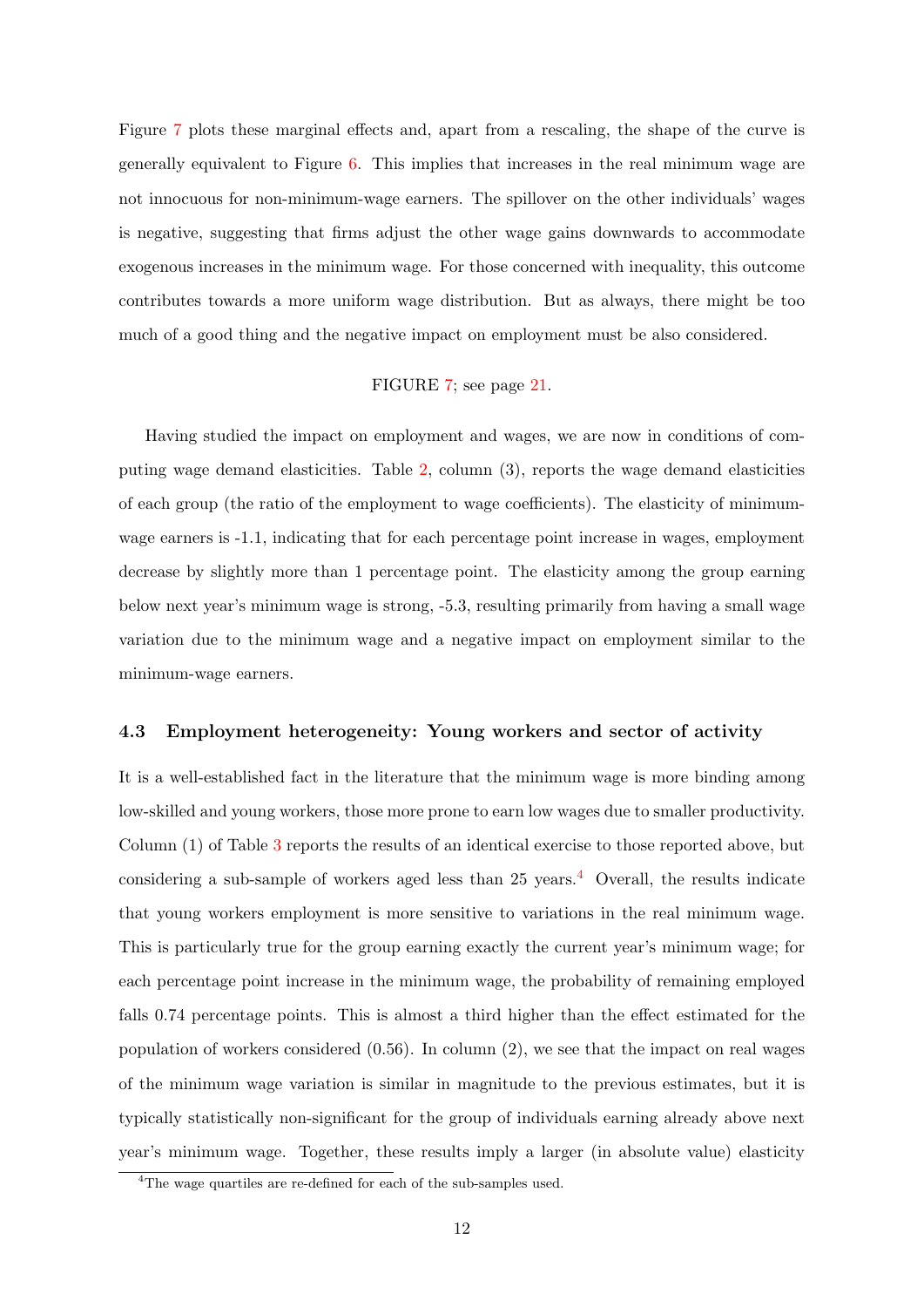Figure [7](#page-20-0) plots these marginal effects and, apart from a rescaling, the shape of the curve is generally equivalent to Figure [6.](#page-19-1) This implies that increases in the real minimum wage are not innocuous for non-minimum-wage earners. The spillover on the other individuals' wages is negative, suggesting that firms adjust the other wage gains downwards to accommodate exogenous increases in the minimum wage. For those concerned with inequality, this outcome contributes towards a more uniform wage distribution. But as always, there might be too much of a good thing and the negative impact on employment must be also considered.

# FIGURE [7;](#page-20-0) see page [21.](#page-20-0)

Having studied the impact on employment and wages, we are now in conditions of computing wage demand elasticities. Table [2,](#page-22-0) column (3), reports the wage demand elasticities of each group (the ratio of the employment to wage coefficients). The elasticity of minimumwage earners is -1.1, indicating that for each percentage point increase in wages, employment decrease by slightly more than 1 percentage point. The elasticity among the group earning below next year's minimum wage is strong, -5.3, resulting primarily from having a small wage variation due to the minimum wage and a negative impact on employment similar to the minimum-wage earners.

# 4.3 Employment heterogeneity: Young workers and sector of activity

It is a well-established fact in the literature that the minimum wage is more binding among low-skilled and young workers, those more prone to earn low wages due to smaller productivity. Column (1) of Table [3](#page-23-0) reports the results of an identical exercise to those reported above, but considering a sub-sample of workers aged less than  $25$  years.<sup>[4](#page-11-0)</sup> Overall, the results indicate that young workers employment is more sensitive to variations in the real minimum wage. This is particularly true for the group earning exactly the current year's minimum wage; for each percentage point increase in the minimum wage, the probability of remaining employed falls 0.74 percentage points. This is almost a third higher than the effect estimated for the population of workers considered  $(0.56)$ . In column  $(2)$ , we see that the impact on real wages of the minimum wage variation is similar in magnitude to the previous estimates, but it is typically statistically non-significant for the group of individuals earning already above next year's minimum wage. Together, these results imply a larger (in absolute value) elasticity

<span id="page-11-0"></span><sup>&</sup>lt;sup>4</sup>The wage quartiles are re-defined for each of the sub-samples used.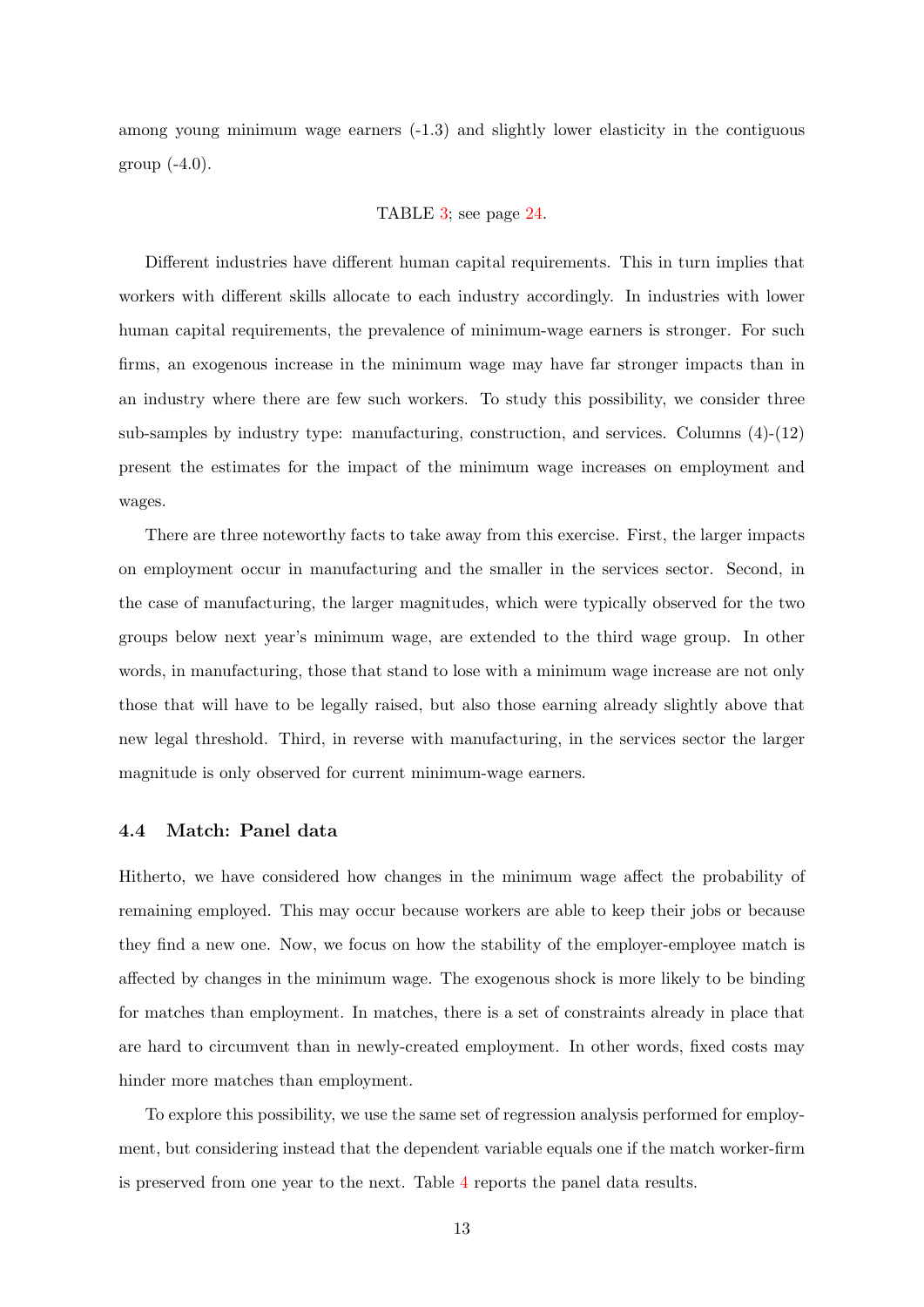among young minimum wage earners (-1.3) and slightly lower elasticity in the contiguous group  $(-4.0)$ .

## TABLE [3;](#page-23-0) see page [24.](#page-23-0)

Different industries have different human capital requirements. This in turn implies that workers with different skills allocate to each industry accordingly. In industries with lower human capital requirements, the prevalence of minimum-wage earners is stronger. For such firms, an exogenous increase in the minimum wage may have far stronger impacts than in an industry where there are few such workers. To study this possibility, we consider three sub-samples by industry type: manufacturing, construction, and services. Columns  $(4)-(12)$ present the estimates for the impact of the minimum wage increases on employment and wages.

There are three noteworthy facts to take away from this exercise. First, the larger impacts on employment occur in manufacturing and the smaller in the services sector. Second, in the case of manufacturing, the larger magnitudes, which were typically observed for the two groups below next year's minimum wage, are extended to the third wage group. In other words, in manufacturing, those that stand to lose with a minimum wage increase are not only those that will have to be legally raised, but also those earning already slightly above that new legal threshold. Third, in reverse with manufacturing, in the services sector the larger magnitude is only observed for current minimum-wage earners.

#### 4.4 Match: Panel data

Hitherto, we have considered how changes in the minimum wage affect the probability of remaining employed. This may occur because workers are able to keep their jobs or because they find a new one. Now, we focus on how the stability of the employer-employee match is affected by changes in the minimum wage. The exogenous shock is more likely to be binding for matches than employment. In matches, there is a set of constraints already in place that are hard to circumvent than in newly-created employment. In other words, fixed costs may hinder more matches than employment.

To explore this possibility, we use the same set of regression analysis performed for employment, but considering instead that the dependent variable equals one if the match worker-firm is preserved from one year to the next. Table [4](#page-24-0) reports the panel data results.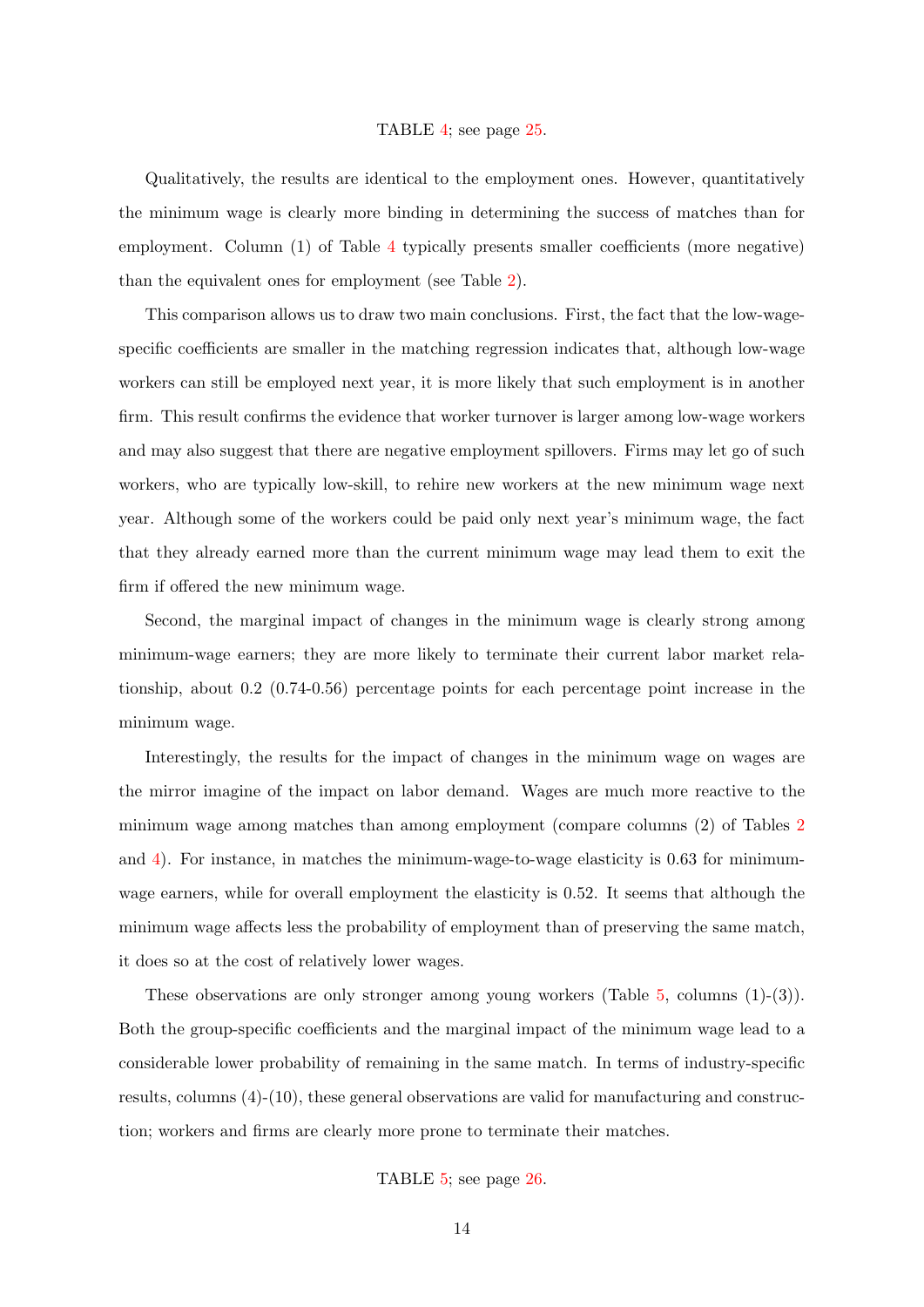#### TABLE [4;](#page-24-0) see page [25.](#page-24-0)

Qualitatively, the results are identical to the employment ones. However, quantitatively the minimum wage is clearly more binding in determining the success of matches than for employment. Column (1) of Table [4](#page-24-0) typically presents smaller coefficients (more negative) than the equivalent ones for employment (see Table [2\)](#page-22-0).

This comparison allows us to draw two main conclusions. First, the fact that the low-wagespecific coefficients are smaller in the matching regression indicates that, although low-wage workers can still be employed next year, it is more likely that such employment is in another firm. This result confirms the evidence that worker turnover is larger among low-wage workers and may also suggest that there are negative employment spillovers. Firms may let go of such workers, who are typically low-skill, to rehire new workers at the new minimum wage next year. Although some of the workers could be paid only next year's minimum wage, the fact that they already earned more than the current minimum wage may lead them to exit the firm if offered the new minimum wage.

Second, the marginal impact of changes in the minimum wage is clearly strong among minimum-wage earners; they are more likely to terminate their current labor market relationship, about 0.2 (0.74-0.56) percentage points for each percentage point increase in the minimum wage.

Interestingly, the results for the impact of changes in the minimum wage on wages are the mirror imagine of the impact on labor demand. Wages are much more reactive to the minimum wage among matches than among employment (compare columns (2) of Tables [2](#page-22-0) and [4\)](#page-24-0). For instance, in matches the minimum-wage-to-wage elasticity is 0.63 for minimumwage earners, while for overall employment the elasticity is 0.52. It seems that although the minimum wage affects less the probability of employment than of preserving the same match, it does so at the cost of relatively lower wages.

These observations are only stronger among young workers (Table [5,](#page-25-0) columns (1)-(3)). Both the group-specific coefficients and the marginal impact of the minimum wage lead to a considerable lower probability of remaining in the same match. In terms of industry-specific results, columns (4)-(10), these general observations are valid for manufacturing and construction; workers and firms are clearly more prone to terminate their matches.

TABLE [5;](#page-25-0) see page [26.](#page-25-0)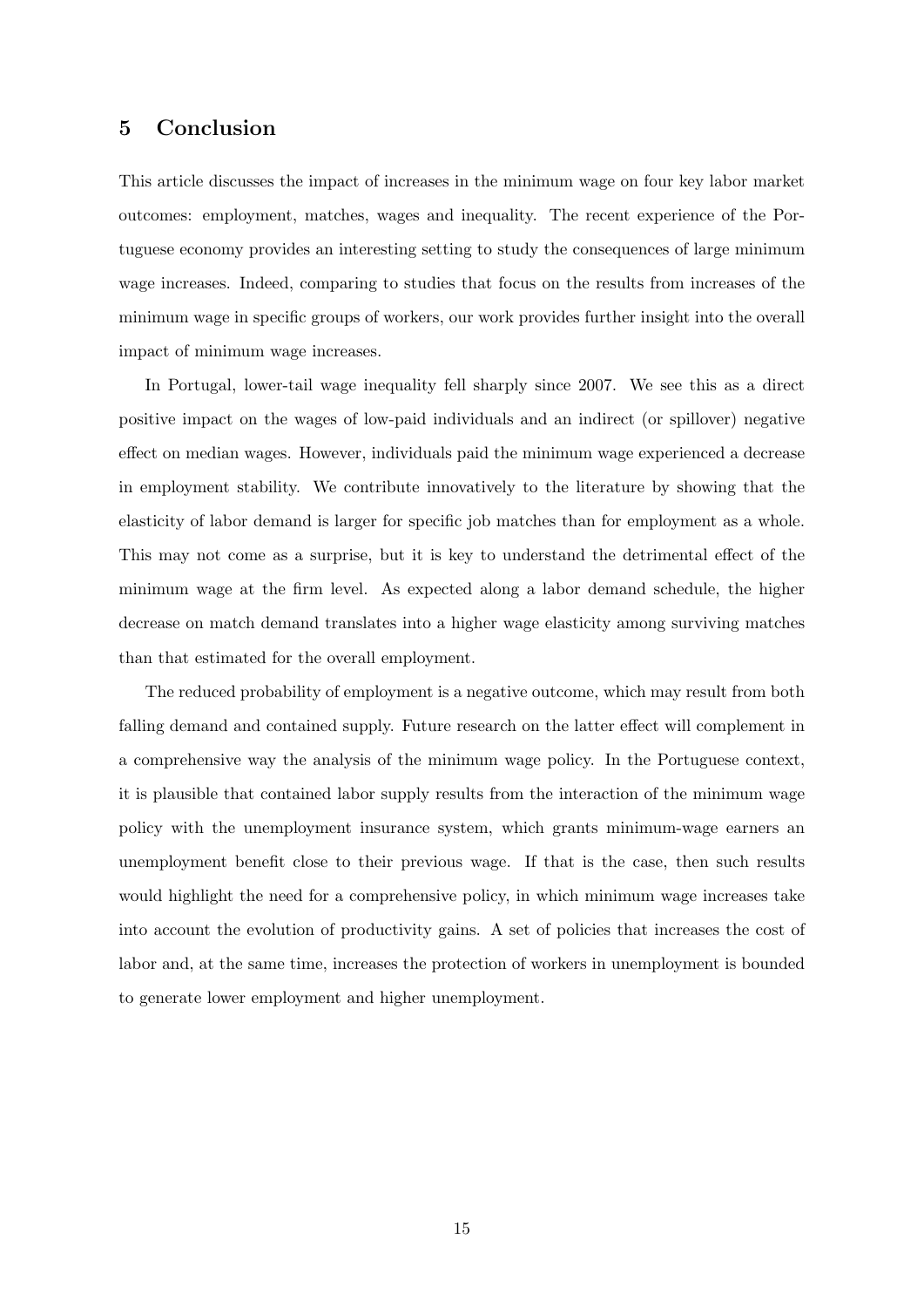# 5 Conclusion

This article discusses the impact of increases in the minimum wage on four key labor market outcomes: employment, matches, wages and inequality. The recent experience of the Portuguese economy provides an interesting setting to study the consequences of large minimum wage increases. Indeed, comparing to studies that focus on the results from increases of the minimum wage in specific groups of workers, our work provides further insight into the overall impact of minimum wage increases.

In Portugal, lower-tail wage inequality fell sharply since 2007. We see this as a direct positive impact on the wages of low-paid individuals and an indirect (or spillover) negative effect on median wages. However, individuals paid the minimum wage experienced a decrease in employment stability. We contribute innovatively to the literature by showing that the elasticity of labor demand is larger for specific job matches than for employment as a whole. This may not come as a surprise, but it is key to understand the detrimental effect of the minimum wage at the firm level. As expected along a labor demand schedule, the higher decrease on match demand translates into a higher wage elasticity among surviving matches than that estimated for the overall employment.

The reduced probability of employment is a negative outcome, which may result from both falling demand and contained supply. Future research on the latter effect will complement in a comprehensive way the analysis of the minimum wage policy. In the Portuguese context, it is plausible that contained labor supply results from the interaction of the minimum wage policy with the unemployment insurance system, which grants minimum-wage earners an unemployment benefit close to their previous wage. If that is the case, then such results would highlight the need for a comprehensive policy, in which minimum wage increases take into account the evolution of productivity gains. A set of policies that increases the cost of labor and, at the same time, increases the protection of workers in unemployment is bounded to generate lower employment and higher unemployment.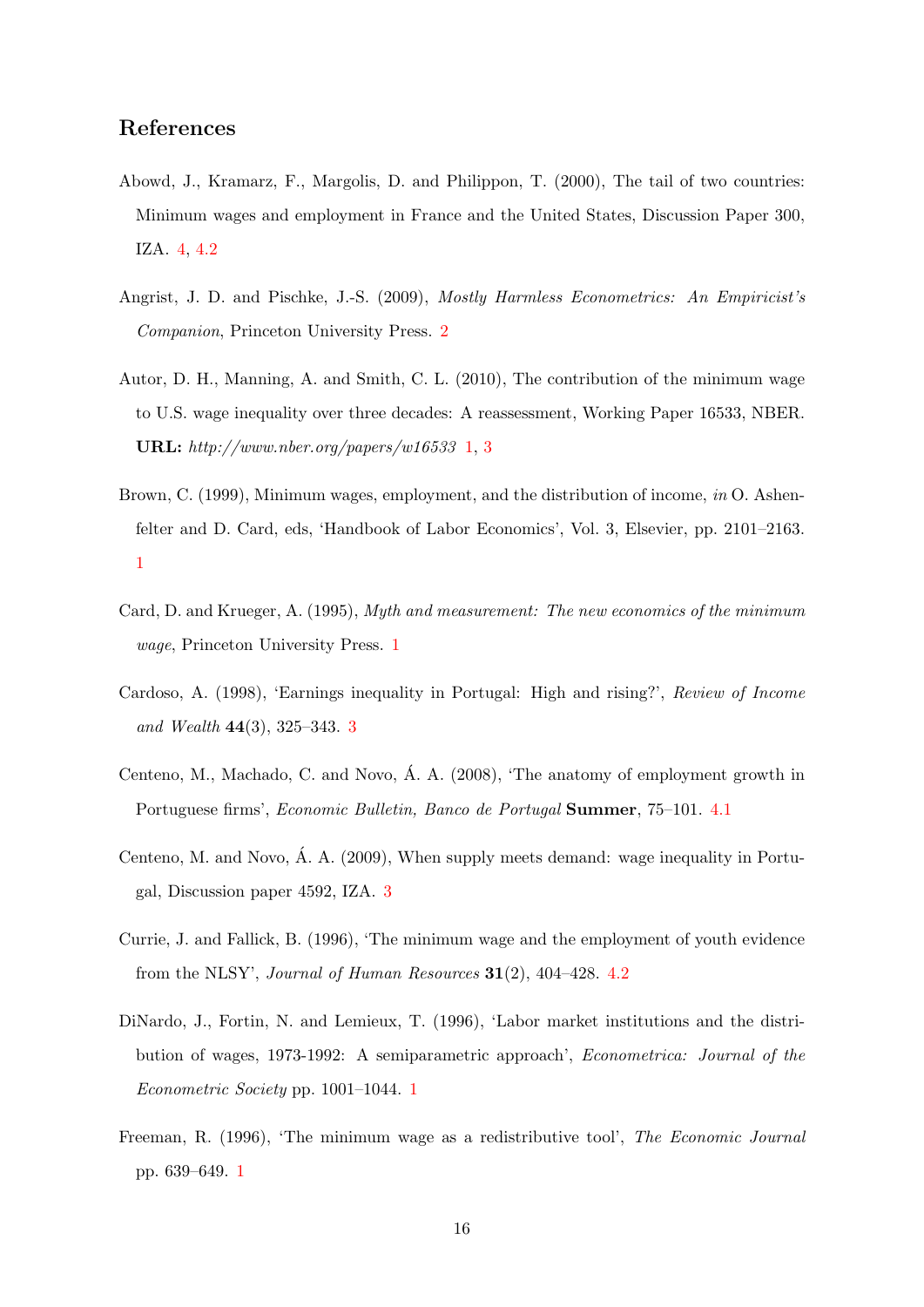# References

- <span id="page-15-7"></span>Abowd, J., Kramarz, F., Margolis, D. and Philippon, T. (2000), The tail of two countries: Minimum wages and employment in France and the United States, Discussion Paper 300, IZA. [4,](#page-6-1) [4.2](#page-9-1)
- <span id="page-15-8"></span>Angrist, J. D. and Pischke, J.-S. (2009), Mostly Harmless Econometrics: An Empiricist's Companion, Princeton University Press. [2](#page-7-0)
- <span id="page-15-3"></span>Autor, D. H., Manning, A. and Smith, C. L. (2010), The contribution of the minimum wage to U.S. wage inequality over three decades: A reassessment, Working Paper 16533, NBER. URL:  $http://www.nber.org/papers/w16533 1, 3$  $http://www.nber.org/papers/w16533 1, 3$  $http://www.nber.org/papers/w16533 1, 3$  $http://www.nber.org/papers/w16533 1, 3$
- <span id="page-15-1"></span>Brown, C. (1999), Minimum wages, employment, and the distribution of income, in O. Ashenfelter and D. Card, eds, 'Handbook of Labor Economics', Vol. 3, Elsevier, pp. 2101–2163. [1](#page-1-0)
- <span id="page-15-2"></span>Card, D. and Krueger, A. (1995), Myth and measurement: The new economics of the minimum wage, Princeton University Press. [1](#page-1-0)
- <span id="page-15-5"></span>Cardoso, A. (1998), 'Earnings inequality in Portugal: High and rising?', Review of Income and Wealth 44(3), 325–343. [3](#page-4-0)
- <span id="page-15-9"></span>Centeno, M., Machado, C. and Novo, Á. A. (2008), 'The anatomy of employment growth in Portuguese firms', Economic Bulletin, Banco de Portugal Summer, 75–101. [4.1](#page-7-1)
- <span id="page-15-6"></span>Centeno, M. and Novo, A. A. (2009), When supply meets demand: wage inequality in Portu- ´ gal, Discussion paper 4592, IZA. [3](#page-4-0)
- <span id="page-15-10"></span>Currie, J. and Fallick, B. (1996), 'The minimum wage and the employment of youth evidence from the NLSY', Journal of Human Resources  $31(2)$ , 404-428. [4.2](#page-9-1)
- <span id="page-15-4"></span>DiNardo, J., Fortin, N. and Lemieux, T. (1996), 'Labor market institutions and the distribution of wages, 1973-1992: A semiparametric approach', Econometrica: Journal of the Econometric Society pp. 1001–1044. [1](#page-1-0)
- <span id="page-15-0"></span>Freeman, R. (1996), 'The minimum wage as a redistributive tool', The Economic Journal pp. 639–649. [1](#page-1-0)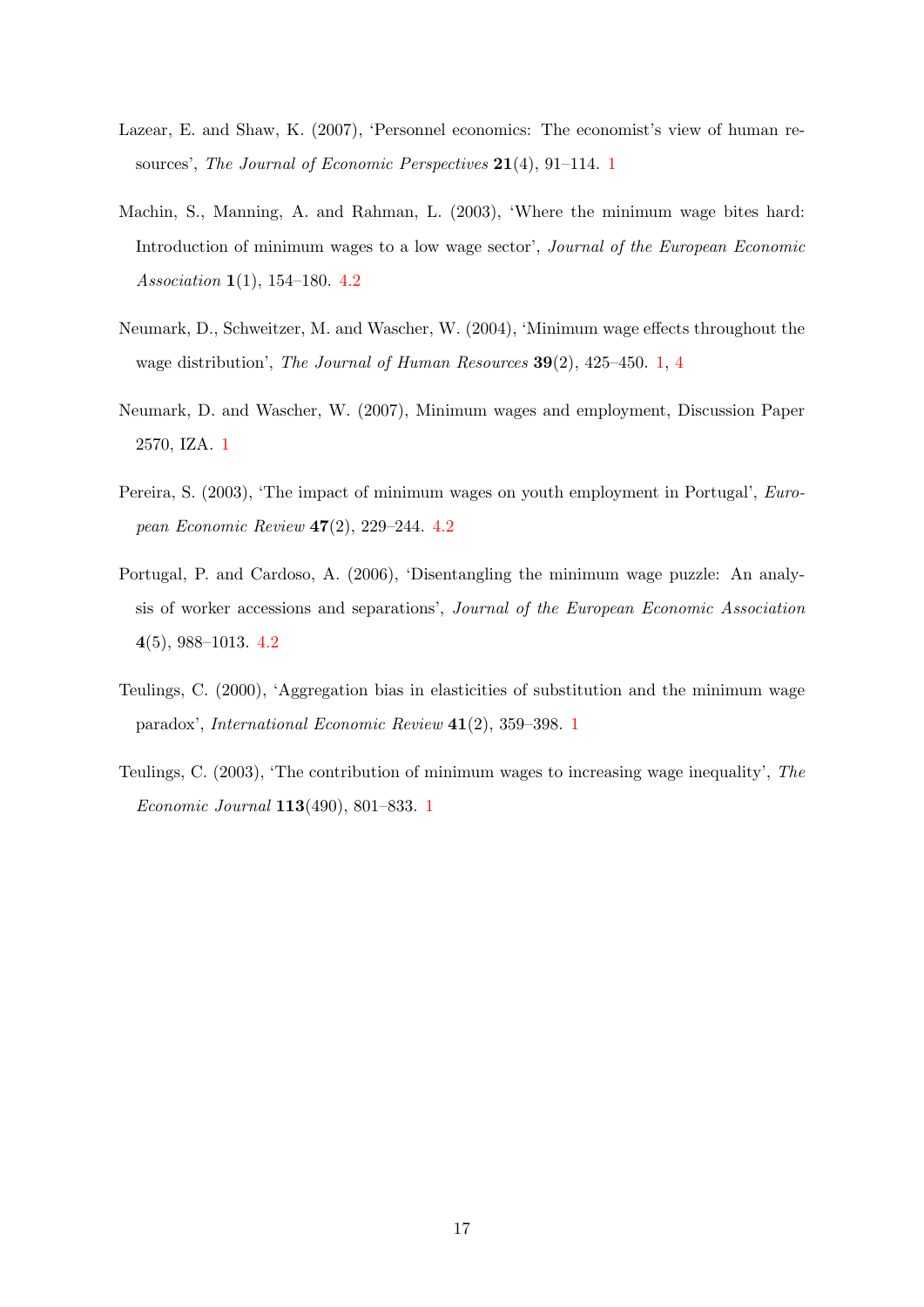- <span id="page-16-0"></span>Lazear, E. and Shaw, K. (2007), 'Personnel economics: The economist's view of human re-sources', The Journal of Economic Perspectives 2[1](#page-1-0)(4), 91–114. 1
- <span id="page-16-5"></span>Machin, S., Manning, A. and Rahman, L. (2003), 'Where the minimum wage bites hard: Introduction of minimum wages to a low wage sector', Journal of the European Economic Association 1(1), 154–180. [4.2](#page-9-1)
- <span id="page-16-2"></span>Neumark, D., Schweitzer, M. and Wascher, W. (2004), 'Minimum wage effects throughout the wage distribution', The Journal of Human Resources 39(2), 425–450. [1,](#page-1-0) [4](#page-6-1)
- <span id="page-16-1"></span>Neumark, D. and Wascher, W. (2007), Minimum wages and employment, Discussion Paper 2570, IZA. [1](#page-1-0)
- <span id="page-16-7"></span>Pereira, S. (2003), 'The impact of minimum wages on youth employment in Portugal', European Economic Review 47(2), 229–244. [4.2](#page-9-1)
- <span id="page-16-6"></span>Portugal, P. and Cardoso, A. (2006), 'Disentangling the minimum wage puzzle: An analysis of worker accessions and separations', Journal of the European Economic Association 4(5), 988–1013. [4.2](#page-9-1)
- <span id="page-16-3"></span>Teulings, C. (2000), 'Aggregation bias in elasticities of substitution and the minimum wage paradox', International Economic Review 41(2), 359–398. [1](#page-1-0)
- <span id="page-16-4"></span>Teulings, C. (2003), 'The contribution of minimum wages to increasing wage inequality', The Economic Journal 113(490), 801–833. [1](#page-1-0)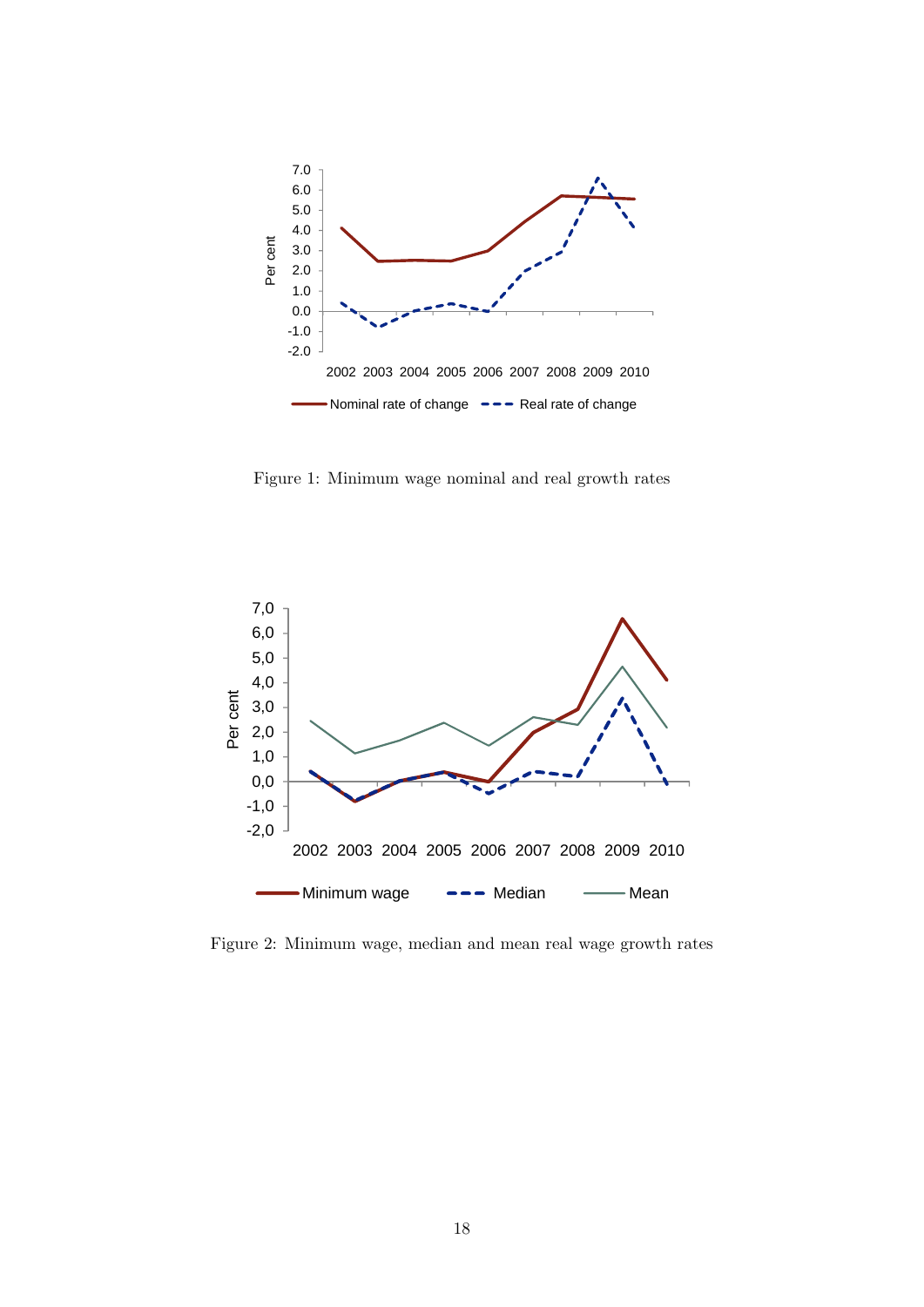<span id="page-17-0"></span>

Figure 1: Minimum wage nominal and real growth rates

<span id="page-17-1"></span>

Figure 2: Minimum wage, median and mean real wage growth rates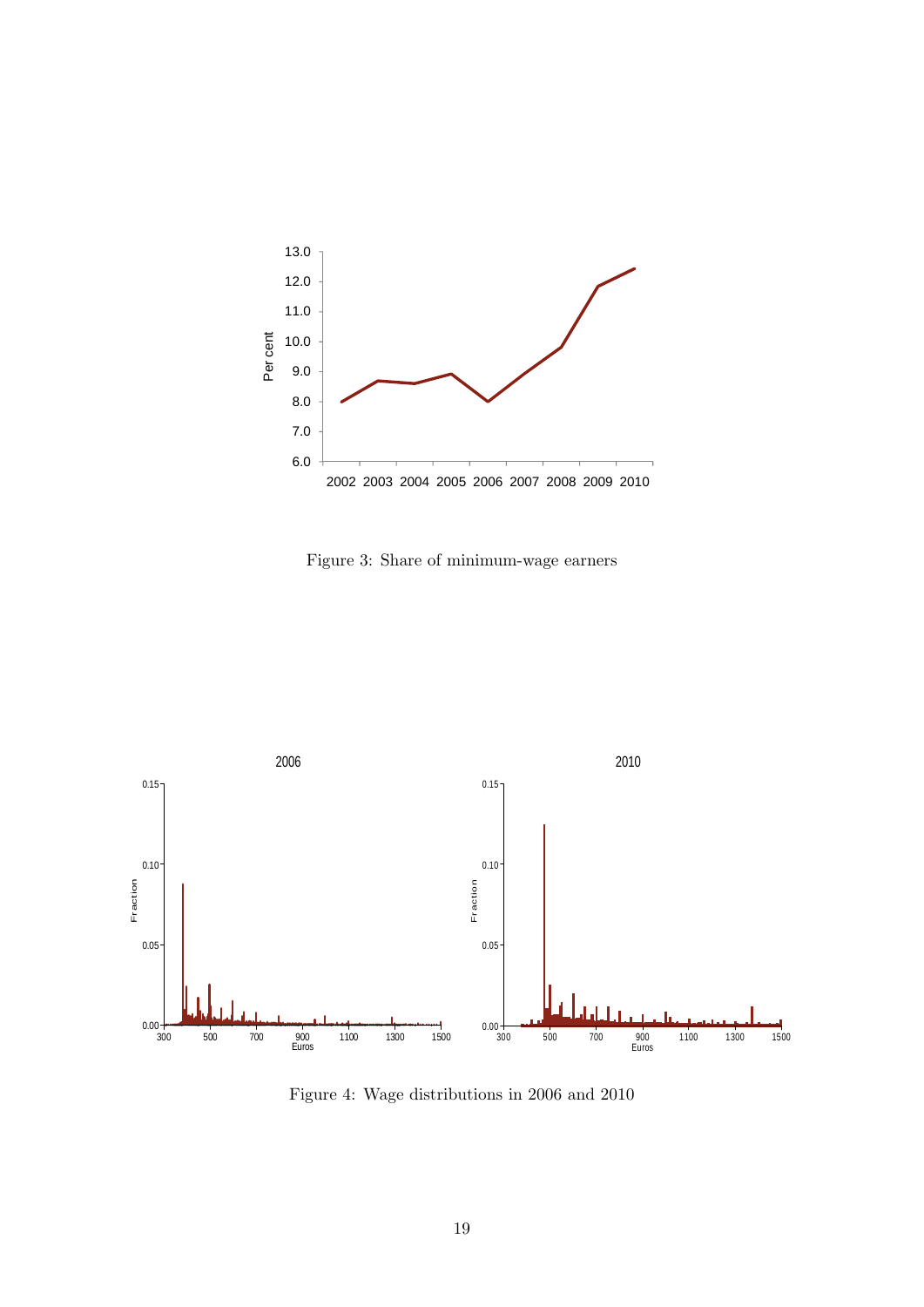<span id="page-18-0"></span>

Figure 3: Share of minimum-wage earners

<span id="page-18-1"></span>

Figure 4: Wage distributions in 2006 and 2010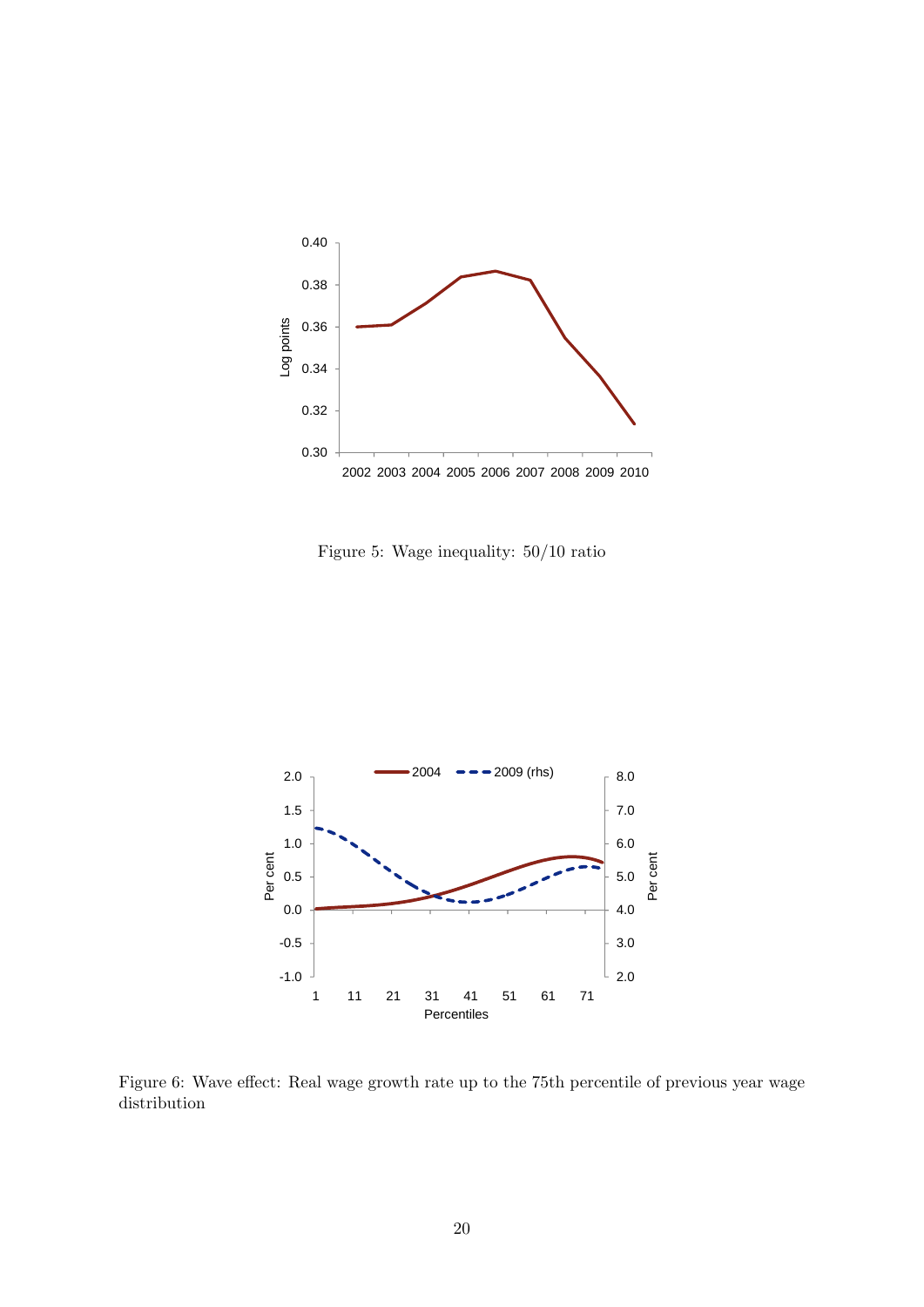<span id="page-19-0"></span>

Figure 5: Wage inequality: 50/10 ratio

<span id="page-19-1"></span>

Figure 6: Wave effect: Real wage growth rate up to the 75th percentile of previous year wage distribution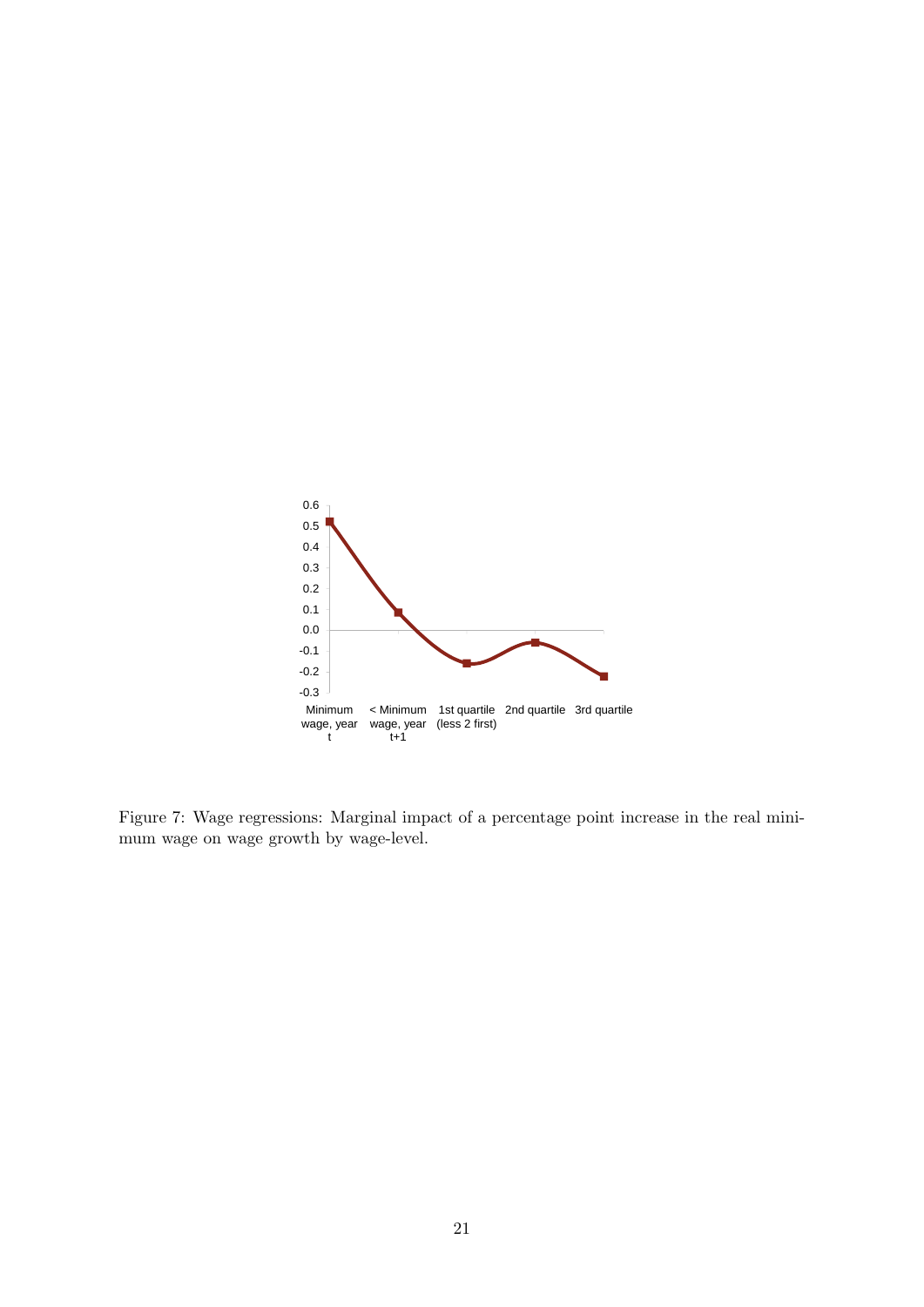<span id="page-20-0"></span>

Figure 7: Wage regressions: Marginal impact of a percentage point increase in the real minimum wage on wage growth by wage-level.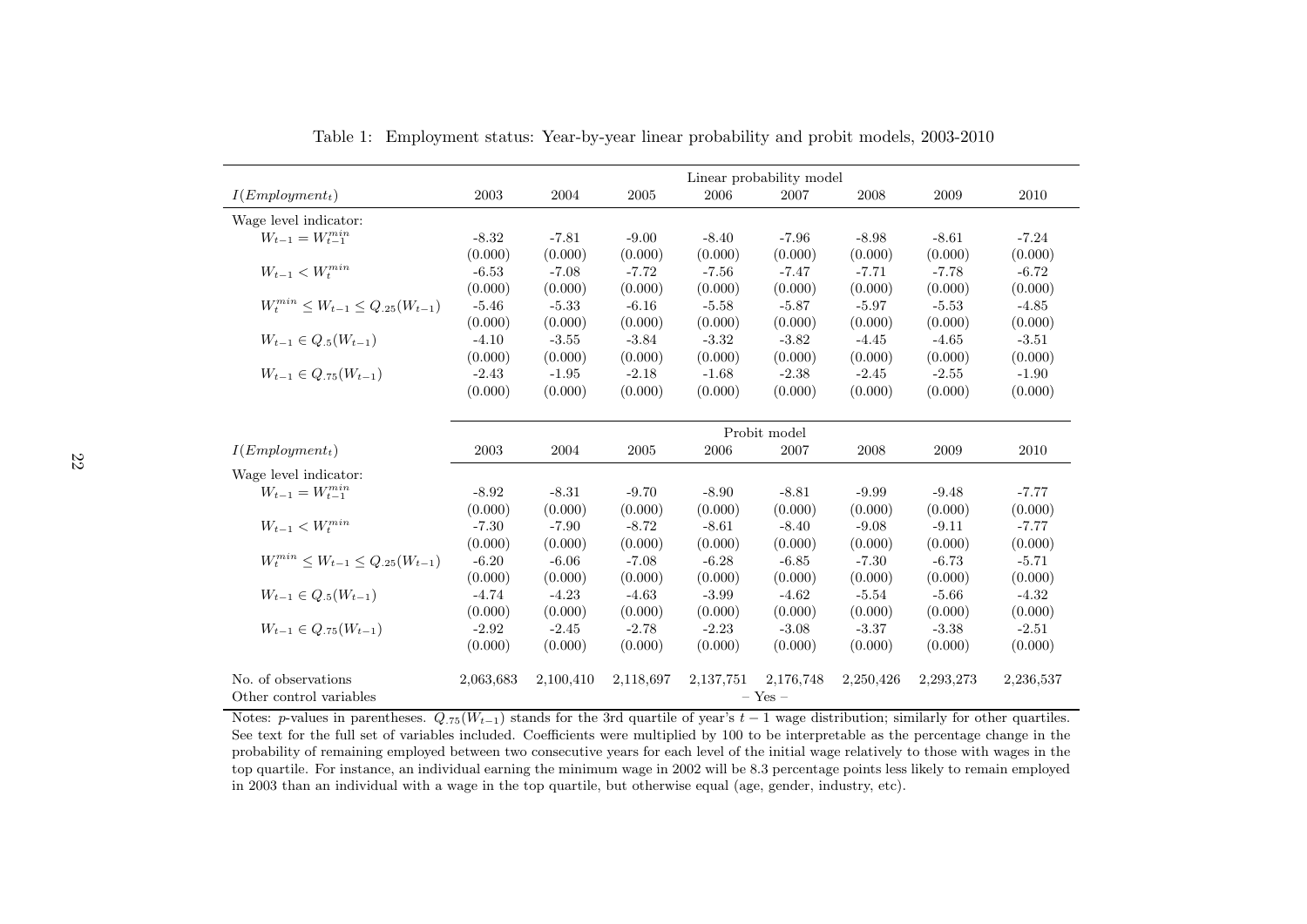<span id="page-21-0"></span>

|                                                | Linear probability model |           |            |           |           |           |           |           |  |  |  |
|------------------------------------------------|--------------------------|-----------|------------|-----------|-----------|-----------|-----------|-----------|--|--|--|
| $I(Emplogment_t)$                              | 2003                     | 2004      | 2005       | 2006      | 2007      | 2008      | 2009      | 2010      |  |  |  |
| Wage level indicator:                          |                          |           |            |           |           |           |           |           |  |  |  |
| $W_{t-1} = W_{t-1}^{\min}$                     | $-8.32$                  | $-7.81$   | $-9.00$    | $-8.40$   | $-7.96$   | $-8.98$   | $-8.61$   | $-7.24$   |  |  |  |
|                                                | (0.000)                  | (0.000)   | (0.000)    | (0.000)   | (0.000)   | (0.000)   | (0.000)   | (0.000)   |  |  |  |
| $W_{t-1} < W_t^{min}$                          | $-6.53$                  | $-7.08$   | $-7.72$    | $-7.56$   | $-7.47$   | $-7.71$   | $-7.78$   | $-6.72$   |  |  |  |
|                                                | (0.000)                  | (0.000)   | (0.000)    | (0.000)   | (0.000)   | (0.000)   | (0.000)   | (0.000)   |  |  |  |
| $W_t^{min} \leq W_{t-1} \leq Q_{.25}(W_{t-1})$ | $-5.46$                  | $-5.33$   | $-6.16$    | $-5.58$   | $-5.87$   | $-5.97$   | $-5.53$   | $-4.85$   |  |  |  |
|                                                | (0.000)                  | (0.000)   | (0.000)    | (0.000)   | (0.000)   | (0.000)   | (0.000)   | (0.000)   |  |  |  |
| $W_{t-1} \in Q_{.5}(W_{t-1})$                  | $-4.10$                  | $-3.55$   | $-3.84$    | $-3.32$   | $-3.82$   | $-4.45$   | $-4.65$   | $-3.51$   |  |  |  |
|                                                | (0.000)                  | (0.000)   | (0.000)    | (0.000)   | (0.000)   | (0.000)   | (0.000)   | (0.000)   |  |  |  |
| $W_{t-1} \in Q_{.75}(W_{t-1})$                 | $-2.43$                  | $-1.95$   | $-2.18$    | $-1.68$   | $-2.38$   | $-2.45$   | $-2.55$   | $-1.90$   |  |  |  |
|                                                | (0.000)                  | (0.000)   | (0.000)    | (0.000)   | (0.000)   | (0.000)   | (0.000)   | (0.000)   |  |  |  |
|                                                |                          |           |            |           |           |           |           |           |  |  |  |
|                                                | Probit model             |           |            |           |           |           |           |           |  |  |  |
| $I(Emplogment_t)$                              | 2003                     | 2004      | $\,2005\,$ | 2006      | 2007      | 2008      | 2009      | 2010      |  |  |  |
| Wage level indicator:                          |                          |           |            |           |           |           |           |           |  |  |  |
| $W_{t-1} = W_{t-1}^{min}$                      | $-8.92$                  | $-8.31$   | $-9.70$    | $-8.90$   | $-8.81$   | $-9.99$   | $-9.48$   | $-7.77$   |  |  |  |
|                                                | (0.000)                  | (0.000)   | (0.000)    | (0.000)   | (0.000)   | (0.000)   | (0.000)   | (0.000)   |  |  |  |
| $W_{t-1} < W_t^{min}$                          | $-7.30$                  | $-7.90$   | $-8.72$    | $-8.61$   | $-8.40$   | $-9.08$   | $-9.11$   | $-7.77$   |  |  |  |
|                                                | (0.000)                  | (0.000)   | (0.000)    | (0.000)   | (0.000)   | (0.000)   | (0.000)   | (0.000)   |  |  |  |
| $W_t^{min} \leq W_{t-1} \leq Q_{.25}(W_{t-1})$ | $-6.20$                  | $-6.06$   | $-7.08$    | $-6.28$   | $-6.85$   | $-7.30$   | $-6.73$   | $-5.71$   |  |  |  |
|                                                | (0.000)                  | (0.000)   | (0.000)    | (0.000)   | (0.000)   | (0.000)   | (0.000)   | (0.000)   |  |  |  |
| $W_{t-1} \in Q_{.5}(W_{t-1})$                  | $-4.74$                  | $-4.23$   | $-4.63$    | $-3.99$   | $-4.62$   | $-5.54$   | $-5.66$   | $-4.32$   |  |  |  |
|                                                | (0.000)                  | (0.000)   | (0.000)    | (0.000)   | (0.000)   | (0.000)   | (0.000)   | (0.000)   |  |  |  |
| $W_{t-1} \in Q_{.75}(W_{t-1})$                 | $-2.92$                  | $-2.45$   | $-2.78$    | $-2.23$   | $-3.08$   | $-3.37$   | $-3.38$   | $-2.51$   |  |  |  |
|                                                | (0.000)                  | (0.000)   | (0.000)    | (0.000)   | (0.000)   | (0.000)   | (0.000)   | (0.000)   |  |  |  |
|                                                |                          |           |            |           |           |           |           |           |  |  |  |
| No. of observations                            | 2,063,683                | 2,100,410 | 2,118,697  | 2,137,751 | 2,176,748 | 2,250,426 | 2,293,273 | 2,236,537 |  |  |  |
| Other control variables                        | $-$ Yes $-$              |           |            |           |           |           |           |           |  |  |  |

Table 1: Employment status: Year-by-year linear probability and probit models, 2003-2010

Notes: p-values in parentheses.  $Q_{.75}(W_{t-1})$  stands for the 3rd quartile of year's  $t - 1$  wage distribution; similarly for other quartiles. See text for the full set of variables included. Coefficients were multiplied by 100 to be interpretable as the percentage change in the probability of remaining employed between two consecutive years for each level of the initial wage relatively to those with wages in the top quartile. For instance, an individual earning the minimum wage in 2002 will be 8.3 percentage points less likely to remain employedin <sup>2003</sup> than an individual with <sup>a</sup> wage in the top quartile, but otherwise equa<sup>l</sup> (age, gender, industry, etc).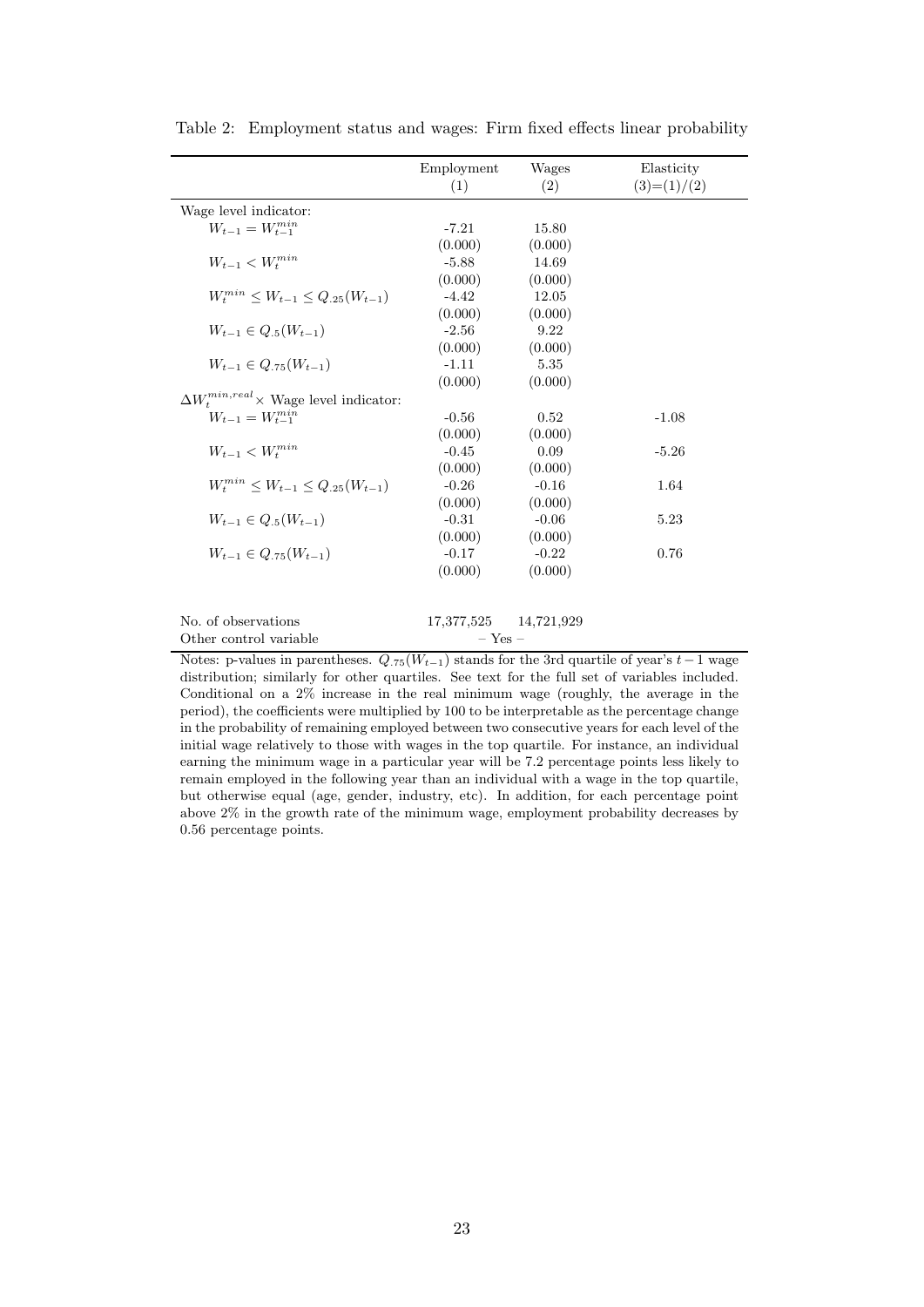|                                                 | Employment<br>(1)     | Wages<br>(2) | Elasticity<br>$(3)=(1)/(2)$ |
|-------------------------------------------------|-----------------------|--------------|-----------------------------|
| Wage level indicator:                           |                       |              |                             |
| $W_{t-1} = W_{t-1}^{min}$                       | $-7.21$               | 15.80        |                             |
|                                                 | (0.000)               | (0.000)      |                             |
| $W_{t-1} < W_{t}^{min}$                         | $-5.88$               | 14.69        |                             |
|                                                 | (0.000)               | (0.000)      |                             |
| $W_t^{min} \leq W_{t-1} \leq Q_{.25}(W_{t-1})$  | $-4.42$               | 12.05        |                             |
|                                                 | (0.000)               | (0.000)      |                             |
| $W_{t-1} \in Q_5(W_{t-1})$                      | $-2.56$               | 9.22         |                             |
|                                                 | (0.000)               | (0.000)      |                             |
| $W_{t-1} \in Q_{.75}(W_{t-1})$                  | $-1.11$               | 5.35         |                             |
|                                                 | (0.000)               | (0.000)      |                             |
| $\Delta W_t^{min,real}$ × Wage level indicator: |                       |              |                             |
| $W_{t-1} = W_{t-1}^{min}$                       | $-0.56$               | 0.52         | $-1.08$                     |
|                                                 | (0.000)               | (0.000)      |                             |
| $W_{t-1} < W_t^{min}$                           | $-0.45$               | 0.09         | $-5.26$                     |
|                                                 | (0.000)               | (0.000)      |                             |
| $W_t^{min} \leq W_{t-1} \leq Q_{.25}(W_{t-1})$  | $-0.26$               | $-0.16$      | 1.64                        |
|                                                 | (0.000)               | (0.000)      |                             |
| $W_{t-1} \in Q_{.5}(W_{t-1})$                   | $-0.31$               | $-0.06$      | 5.23                        |
|                                                 | (0.000)               | (0.000)      |                             |
| $W_{t-1} \in Q_{75}(W_{t-1})$                   | $-0.17$               | $-0.22$      | 0.76                        |
|                                                 | (0.000)               | (0.000)      |                             |
| No. of observations                             | 17,377,525 14,721,929 |              |                             |
| Other control variable                          | $-$ Yes $-$           |              |                             |
|                                                 |                       |              |                             |

<span id="page-22-1"></span><span id="page-22-0"></span>Table 2: Employment status and wages: Firm fixed effects linear probability

Notes: p-values in parentheses.  $Q_{.75}(W_{t-1})$  stands for the 3rd quartile of year's  $t-1$  wage distribution; similarly for other quartiles. See text for the full set of variables included. Conditional on a 2% increase in the real minimum wage (roughly, the average in the period), the coefficients were multiplied by 100 to be interpretable as the percentage change in the probability of remaining employed between two consecutive years for each level of the initial wage relatively to those with wages in the top quartile. For instance, an individual earning the minimum wage in a particular year will be 7.2 percentage points less likely to remain employed in the following year than an individual with a wage in the top quartile, but otherwise equal (age, gender, industry, etc). In addition, for each percentage point above 2% in the growth rate of the minimum wage, employment probability decreases by 0.56 percentage points.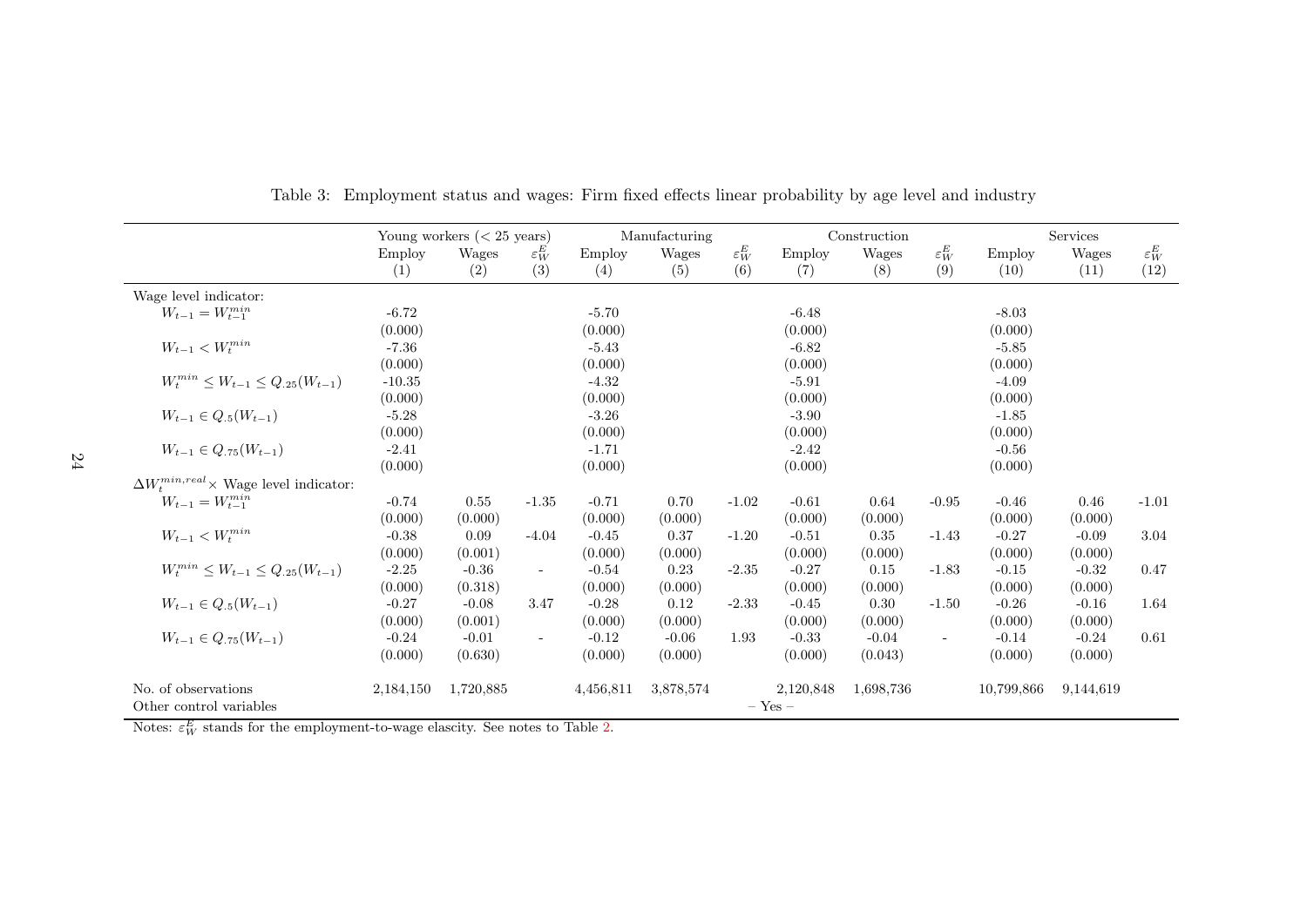|                                                 | Young workers $(< 25$ years) |           |                          | Manufacturing |           |                   | Construction  |           | <b>Services</b>          |            |           |                   |
|-------------------------------------------------|------------------------------|-----------|--------------------------|---------------|-----------|-------------------|---------------|-----------|--------------------------|------------|-----------|-------------------|
|                                                 | Employ                       | Wages     | $\varepsilon_W^E$        | Employ        | Wages     | $\varepsilon_W^E$ | <b>Employ</b> | Wages     | $\varepsilon_W^E$        | Employ     | Wages     | $\varepsilon_W^E$ |
|                                                 | (1)                          | (2)       | (3)                      | (4)           | (5)       | (6)               | (7)           | (8)       | (9)                      | (10)       | (11)      | (12)              |
| Wage level indicator:                           |                              |           |                          |               |           |                   |               |           |                          |            |           |                   |
| $W_{t-1} = W_{t-1}^{min}$                       | $-6.72$                      |           |                          | $-5.70$       |           |                   | $-6.48$       |           |                          | $-8.03$    |           |                   |
|                                                 | (0.000)                      |           |                          | (0.000)       |           |                   | (0.000)       |           |                          | (0.000)    |           |                   |
| $W_{t-1} < W_t^{min}$                           | $-7.36$                      |           |                          | $-5.43$       |           |                   | $-6.82$       |           |                          | $-5.85$    |           |                   |
|                                                 | (0.000)                      |           |                          | (0.000)       |           |                   | (0.000)       |           |                          | (0.000)    |           |                   |
| $W_t^{min} \leq W_{t-1} \leq Q_{.25}(W_{t-1})$  | $-10.35$                     |           |                          | $-4.32$       |           |                   | $-5.91$       |           |                          | $-4.09$    |           |                   |
|                                                 | (0.000)                      |           |                          | (0.000)       |           |                   | (0.000)       |           |                          | (0.000)    |           |                   |
| $W_{t-1} \in Q_{.5}(W_{t-1})$                   | $-5.28$                      |           |                          | $-3.26$       |           |                   | $-3.90$       |           |                          | $-1.85$    |           |                   |
|                                                 | (0.000)                      |           |                          | (0.000)       |           |                   | (0.000)       |           |                          | (0.000)    |           |                   |
| $W_{t-1} \in Q_{.75}(W_{t-1})$                  | $-2.41$                      |           |                          | $-1.71$       |           |                   | $-2.42$       |           |                          | $-0.56$    |           |                   |
|                                                 | (0.000)                      |           |                          | (0.000)       |           |                   | (0.000)       |           |                          | (0.000)    |           |                   |
| $\Delta W_t^{min,real}$ × Wage level indicator: |                              |           |                          |               |           |                   |               |           |                          |            |           |                   |
| $W_{t-1} = W_{t-1}^{\min}$                      | $-0.74$                      | 0.55      | $-1.35$                  | $-0.71$       | 0.70      | $-1.02$           | $-0.61$       | 0.64      | $-0.95$                  | $-0.46$    | 0.46      | $-1.01$           |
|                                                 | (0.000)                      | (0.000)   |                          | (0.000)       | (0.000)   |                   | (0.000)       | (0.000)   |                          | (0.000)    | (0.000)   |                   |
| $W_{t-1} < W_{t}^{min}$                         | $-0.38$                      | 0.09      | $-4.04$                  | $-0.45$       | 0.37      | $-1.20$           | $-0.51$       | 0.35      | $-1.43$                  | $-0.27$    | $-0.09$   | 3.04              |
|                                                 | (0.000)                      | (0.001)   |                          | (0.000)       | (0.000)   |                   | (0.000)       | (0.000)   |                          | (0.000)    | (0.000)   |                   |
| $W_t^{min} \leq W_{t-1} \leq Q_{.25}(W_{t-1})$  | $-2.25$                      | $-0.36$   | $\overline{\phantom{a}}$ | $-0.54$       | 0.23      | $-2.35$           | $-0.27$       | 0.15      | $-1.83$                  | $-0.15$    | $-0.32$   | 0.47              |
|                                                 | (0.000)                      | (0.318)   |                          | (0.000)       | (0.000)   |                   | (0.000)       | (0.000)   |                          | (0.000)    | (0.000)   |                   |
| $W_{t-1} \in Q_{.5}(W_{t-1})$                   | $-0.27$                      | $-0.08$   | 3.47                     | $-0.28$       | 0.12      | $-2.33$           | $-0.45$       | 0.30      | $-1.50$                  | $-0.26$    | $-0.16$   | 1.64              |
|                                                 | (0.000)                      | (0.001)   |                          | (0.000)       | (0.000)   |                   | (0.000)       | (0.000)   |                          | (0.000)    | (0.000)   |                   |
| $W_{t-1} \in Q_{.75}(W_{t-1})$                  | $-0.24$                      | $-0.01$   | $\sim$                   | $-0.12$       | $-0.06$   | 1.93              | $-0.33$       | $-0.04$   | $\overline{\phantom{a}}$ | $-0.14$    | $-0.24$   | 0.61              |
|                                                 | (0.000)                      | (0.630)   |                          | (0.000)       | (0.000)   |                   | (0.000)       | (0.043)   |                          | (0.000)    | (0.000)   |                   |
| No. of observations                             | 2,184,150                    | 1,720,885 |                          | 4,456,811     | 3,878,574 |                   | 2,120,848     | 1,698,736 |                          | 10,799,866 | 9,144,619 |                   |
| Other control variables                         |                              |           |                          |               |           |                   | $-$ Yes $-$   |           |                          |            |           |                   |

Table 3: Employment status and wages: Firm fixed effects linear probability by age level and industry

<span id="page-23-0"></span>Notes:  $\varepsilon_W^E$  stands for the employment-to-wage elascity. See notes to Table [2.](#page-22-1)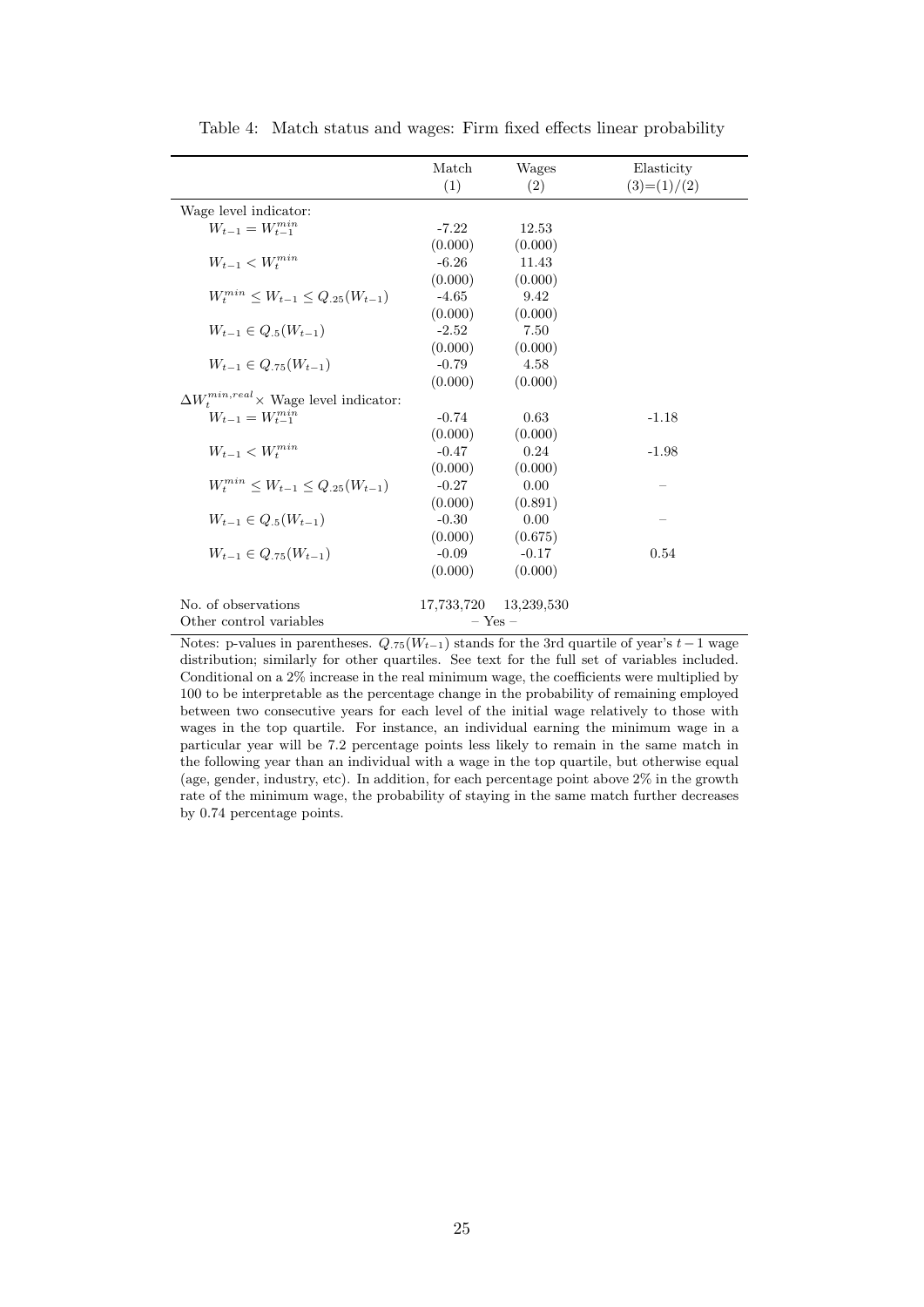<span id="page-24-0"></span>

|                                                           | Match<br>(1)          | Wages<br>(2) | Elasticity<br>$(3)=(1)/(2)$ |
|-----------------------------------------------------------|-----------------------|--------------|-----------------------------|
| Wage level indicator:                                     |                       |              |                             |
| $W_{t-1} = W_{t-1}^{min}$                                 | $-7.22$               | 12.53        |                             |
|                                                           | (0.000)               | (0.000)      |                             |
| $\boldsymbol{W}_{t-1}<\boldsymbol{W}_{t}^{min}$           | $-6.26$               | 11.43        |                             |
|                                                           | (0.000)               | (0.000)      |                             |
| $W_t^{min} \leq W_{t-1} \leq Q_{.25}(W_{t-1})$            | $-4.65$               | 9.42         |                             |
|                                                           | (0.000)               | (0.000)      |                             |
| $W_{t-1} \in Q_5(W_{t-1})$                                | $-2.52$               | 7.50         |                             |
|                                                           | (0.000)               | (0.000)      |                             |
| $W_{t-1} \in Q_{.75}(W_{t-1})$                            | $-0.79$               | 4.58         |                             |
|                                                           | (0.000)               | (0.000)      |                             |
| $\Delta W^{min,real}_{\tau} \times$ Wage level indicator: |                       |              |                             |
| $W_{t-1} = W_{t-1}^{min}$                                 | $-0.74$               | 0.63         | $-1.18$                     |
|                                                           | (0.000)               | (0.000)      |                             |
| $W_{t-1} < W_t^{min}$                                     | $-0.47$               | 0.24         | $-1.98$                     |
|                                                           | (0.000)               | (0.000)      |                             |
| $W_t^{min} \leq W_{t-1} \leq Q_{.25}(W_{t-1})$            | $-0.27$               | 0.00         |                             |
|                                                           | (0.000)               | (0.891)      |                             |
| $W_{t-1} \in Q_{.5}(W_{t-1})$                             | $-0.30$               | 0.00         |                             |
|                                                           | (0.000)               | (0.675)      |                             |
| $W_{t-1} \in Q_{75}(W_{t-1})$                             | $-0.09$               | $-0.17$      | 0.54                        |
|                                                           | (0.000)               | (0.000)      |                             |
| No. of observations                                       | 17,733,720 13,239,530 |              |                             |
| Other control variables                                   | $-$ Yes $-$           |              |                             |

<span id="page-24-1"></span>Table 4: Match status and wages: Firm fixed effects linear probability

Notes: p-values in parentheses.  $Q_{.75}(W_{t-1})$  stands for the 3rd quartile of year's  $t-1$  wage distribution; similarly for other quartiles. See text for the full set of variables included. Conditional on a 2% increase in the real minimum wage, the coefficients were multiplied by 100 to be interpretable as the percentage change in the probability of remaining employed between two consecutive years for each level of the initial wage relatively to those with wages in the top quartile. For instance, an individual earning the minimum wage in a particular year will be 7.2 percentage points less likely to remain in the same match in the following year than an individual with a wage in the top quartile, but otherwise equal (age, gender, industry, etc). In addition, for each percentage point above 2% in the growth rate of the minimum wage, the probability of staying in the same match further decreases by 0.74 percentage points.